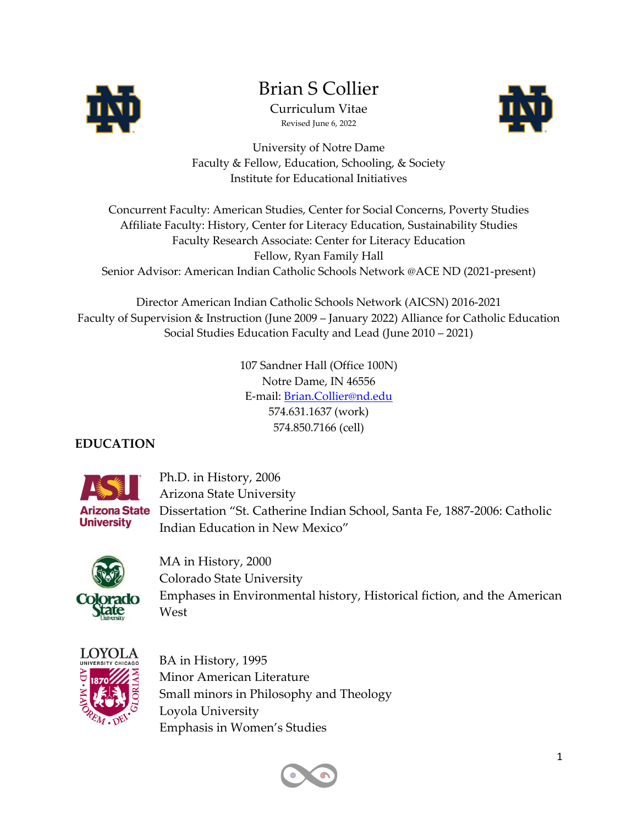

# Brian S Collier

Curriculum Vitae Revised June 6, 2022



University of Notre Dame Faculty & Fellow, Education, Schooling, & Society Institute for Educational Initiatives

Concurrent Faculty: American Studies, Center for Social Concerns, Poverty Studies Affiliate Faculty: History, Center for Literacy Education, Sustainability Studies Faculty Research Associate: Center for Literacy Education Fellow, Ryan Family Hall Senior Advisor: American Indian Catholic Schools Network @ACE ND (2021-present)

Director American Indian Catholic Schools Network (AICSN) 2016-2021 Faculty of Supervision & Instruction (June 2009 – January 2022) Alliance for Catholic Education Social Studies Education Faculty and Lead (June 2010 – 2021)

> 107 Sandner Hall (Office 100N) Notre Dame, IN 46556 E-mail: Brian.Collier@nd.edu 574.631.1637 (work) 574.850.7166 (cell)

# **EDUCATION**



 Ph.D. in History, 2006 Arizona State University Arizona State Dissertation "St. Catherine Indian School, Santa Fe, 1887-2006: Catholic Indian Education in New Mexico"



 MA in History, 2000 Colorado State University Emphases in Environmental history, Historical fiction, and the American West



 BA in History, 1995 Minor American Literature Small minors in Philosophy and Theology Loyola University Emphasis in Women's Studies

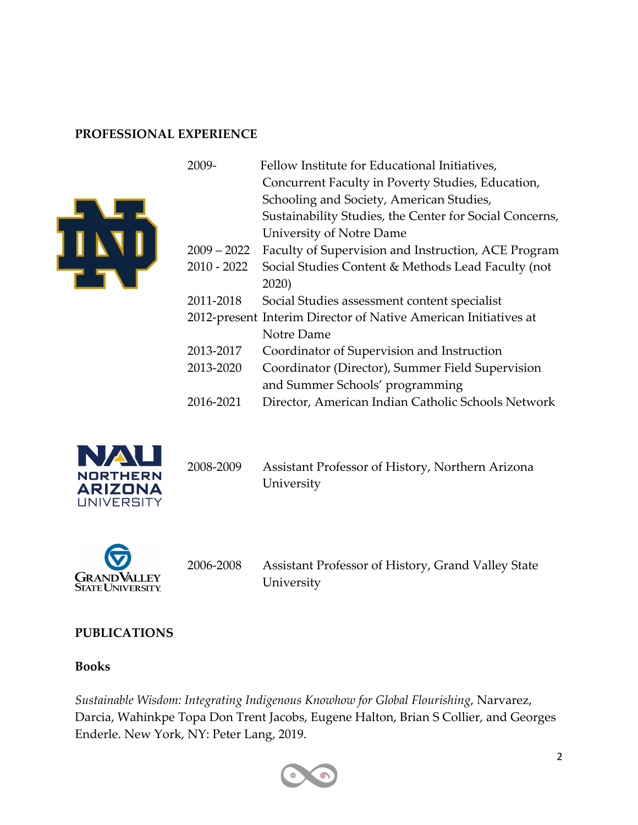#### **PROFESSIONAL EXPERIENCE**





2008-2009 Assistant Professor of History, Northern Arizona University



2006-2008 Assistant Professor of History, Grand Valley State **University** 

#### **PUBLICATIONS**

#### **Books**

*Sustainable Wisdom: Integrating Indigenous Knowhow for Global Flourishing*, Narvarez, Darcia, Wahinkpe Topa Don Trent Jacobs, Eugene Halton, Brian S Collier, and Georges Enderle. New York, NY: Peter Lang, 2019.

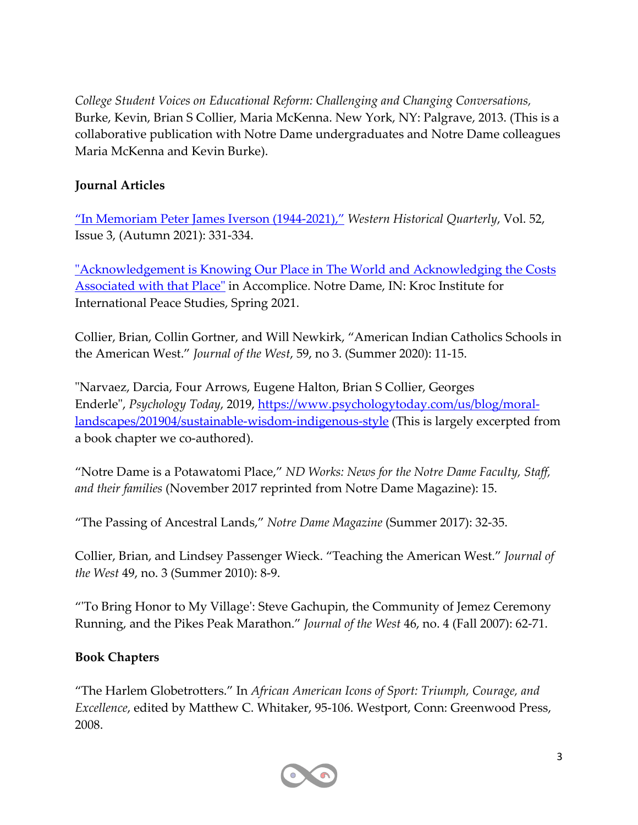*College Student Voices on Educational Reform: Challenging and Changing Conversations,* Burke, Kevin, Brian S Collier, Maria McKenna. New York, NY: Palgrave, 2013. (This is a collaborative publication with Notre Dame undergraduates and Notre Dame colleagues Maria McKenna and Kevin Burke).

#### **Journal Articles**

"In Memoriam Peter James Iverson (1944-2021)," *Western Historical Quarterly*, Vol. 52, Issue 3, (Autumn 2021): 331-334.

"Acknowledgement is Knowing Our Place in The World and Acknowledging the Costs Associated with that Place" in Accomplice. Notre Dame, IN: Kroc Institute for International Peace Studies, Spring 2021.

Collier, Brian, Collin Gortner, and Will Newkirk, "American Indian Catholics Schools in the American West." *Journal of the West*, 59, no 3. (Summer 2020): 11-15.

"Narvaez, Darcia, Four Arrows, Eugene Halton, Brian S Collier, Georges Enderle", *Psychology Today*, 2019, https://www.psychologytoday.com/us/blog/morallandscapes/201904/sustainable-wisdom-indigenous-style (This is largely excerpted from a book chapter we co-authored).

"Notre Dame is a Potawatomi Place," *ND Works: News for the Notre Dame Faculty, Staff, and their families* (November 2017 reprinted from Notre Dame Magazine): 15.

"The Passing of Ancestral Lands," *Notre Dame Magazine* (Summer 2017): 32-35.

Collier, Brian, and Lindsey Passenger Wieck. "Teaching the American West." *Journal of the West* 49, no. 3 (Summer 2010): 8-9.

"'To Bring Honor to My Village': Steve Gachupin, the Community of Jemez Ceremony Running, and the Pikes Peak Marathon." *Journal of the West* 46, no. 4 (Fall 2007): 62-71.

#### **Book Chapters**

"The Harlem Globetrotters." In *African American Icons of Sport: Triumph, Courage, and Excellence*, edited by Matthew C. Whitaker, 95-106. Westport, Conn: Greenwood Press, 2008.

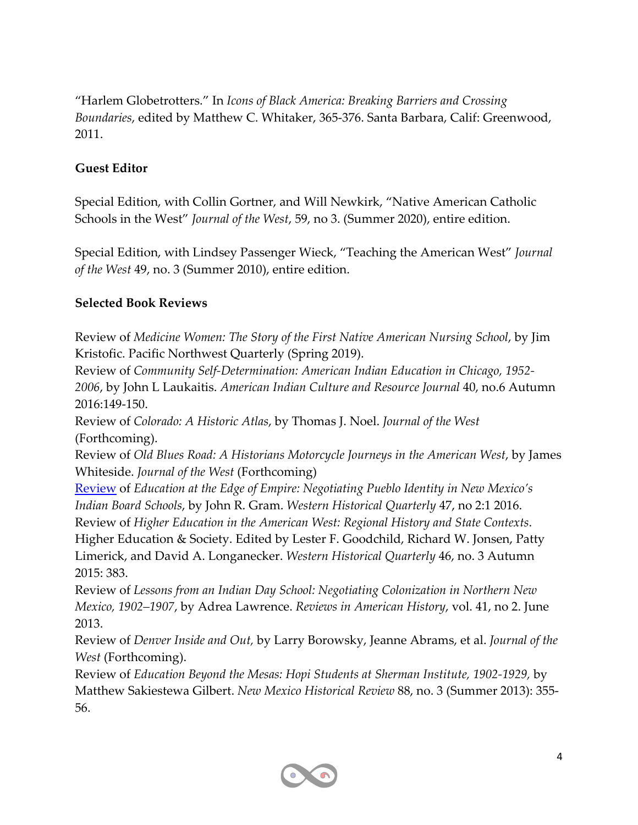"Harlem Globetrotters." In *Icons of Black America: Breaking Barriers and Crossing Boundaries*, edited by Matthew C. Whitaker, 365-376. Santa Barbara, Calif: Greenwood, 2011.

#### **Guest Editor**

Special Edition, with Collin Gortner, and Will Newkirk, "Native American Catholic Schools in the West" *Journal of the West*, 59, no 3. (Summer 2020), entire edition.

Special Edition, with Lindsey Passenger Wieck, "Teaching the American West" *Journal of the West* 49, no. 3 (Summer 2010), entire edition.

#### **Selected Book Reviews**

Review of *Medicine Women: The Story of the First Native American Nursing School*, by Jim Kristofic. Pacific Northwest Quarterly (Spring 2019).

Review of *Community Self-Determination: American Indian Education in Chicago, 1952- 2006*, by John L Laukaitis. *American Indian Culture and Resource Journal* 40, no.6 Autumn 2016:149-150.

Review of *Colorado: A Historic Atlas*, by Thomas J. Noel. *Journal of the West* (Forthcoming).

Review of *Old Blues Road: A Historians Motorcycle Journeys in the American West*, by James Whiteside. *Journal of the West* (Forthcoming)

Review of *Education at the Edge of Empire: Negotiating Pueblo Identity in New Mexico's Indian Board Schools*, by John R. Gram. *Western Historical Quarterly* 47, no 2:1 2016. Review of *Higher Education in the American West: Regional History and State Contexts*. Higher Education & Society. Edited by Lester F. Goodchild, Richard W. Jonsen, Patty

Limerick, and David A. Longanecker. *Western Historical Quarterly* 46, no. 3 Autumn 2015: 383.

Review of *Lessons from an Indian Day School: Negotiating Colonization in Northern New Mexico, 1902–1907*, by Adrea Lawrence. *Reviews in American History*, vol. 41, no 2. June 2013.

Review of *Denver Inside and Out,* by Larry Borowsky, Jeanne Abrams, et al. *Journal of the West* (Forthcoming).

Review of *Education Beyond the Mesas: Hopi Students at Sherman Institute, 1902-1929,* by Matthew Sakiestewa Gilbert. *New Mexico Historical Review* 88, no. 3 (Summer 2013): 355- 56.

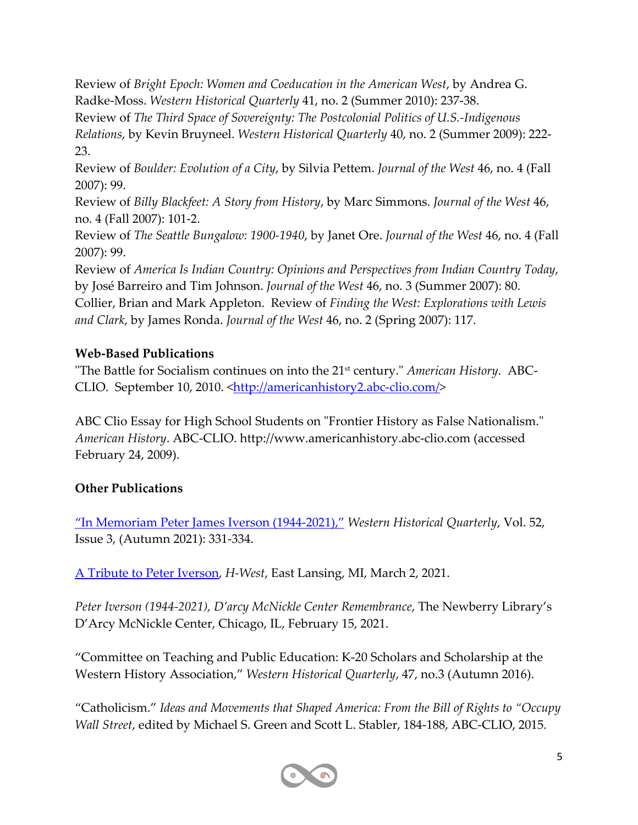Review of *Bright Epoch: Women and Coeducation in the American West*, by Andrea G. Radke-Moss. *Western Historical Quarterly* 41, no. 2 (Summer 2010): 237-38.

Review of *The Third Space of Sovereignty: The Postcolonial Politics of U.S.-Indigenous Relations*, by Kevin Bruyneel. *Western Historical Quarterly* 40, no. 2 (Summer 2009): 222- 23.

Review of *Boulder: Evolution of a City*, by Silvia Pettem. *Journal of the West* 46, no. 4 (Fall 2007): 99.

Review of *Billy Blackfeet: A Story from History*, by Marc Simmons. *Journal of the West* 46, no. 4 (Fall 2007): 101-2.

Review of *The Seattle Bungalow: 1900-1940*, by Janet Ore. *Journal of the West* 46, no. 4 (Fall 2007): 99.

Review of *America Is Indian Country: Opinions and Perspectives from Indian Country Today*, by José Barreiro and Tim Johnson. *Journal of the West* 46, no. 3 (Summer 2007): 80. Collier, Brian and Mark Appleton. Review of *Finding the West: Explorations with Lewis and Clark*, by James Ronda. *Journal of the West* 46, no. 2 (Spring 2007): 117.

## **Web-Based Publications**

"The Battle for Socialism continues on into the 21st century." *American History*. ABC-CLIO. September 10, 2010. <http://americanhistory2.abc-clio.com/>

ABC Clio Essay for High School Students on "Frontier History as False Nationalism." *American History*. ABC-CLIO. http://www.americanhistory.abc-clio.com (accessed February 24, 2009).

#### **Other Publications**

"In Memoriam Peter James Iverson (1944-2021)," *Western Historical Quarterly*, Vol. 52, Issue 3, (Autumn 2021): 331-334.

A Tribute to Peter Iverson, *H-West*, East Lansing, MI, March 2, 2021.

*Peter Iverson (1944-2021), D'arcy McNickle Center Remembrance*, The Newberry Library's D'Arcy McNickle Center, Chicago, IL, February 15, 2021.

"Committee on Teaching and Public Education: K-20 Scholars and Scholarship at the Western History Association," *Western Historical Quarterly*, 47, no.3 (Autumn 2016).

"Catholicism." *Ideas and Movements that Shaped America: From the Bill of Rights to "Occupy Wall Street*, edited by Michael S. Green and Scott L. Stabler, 184-188, ABC-CLIO, 2015.

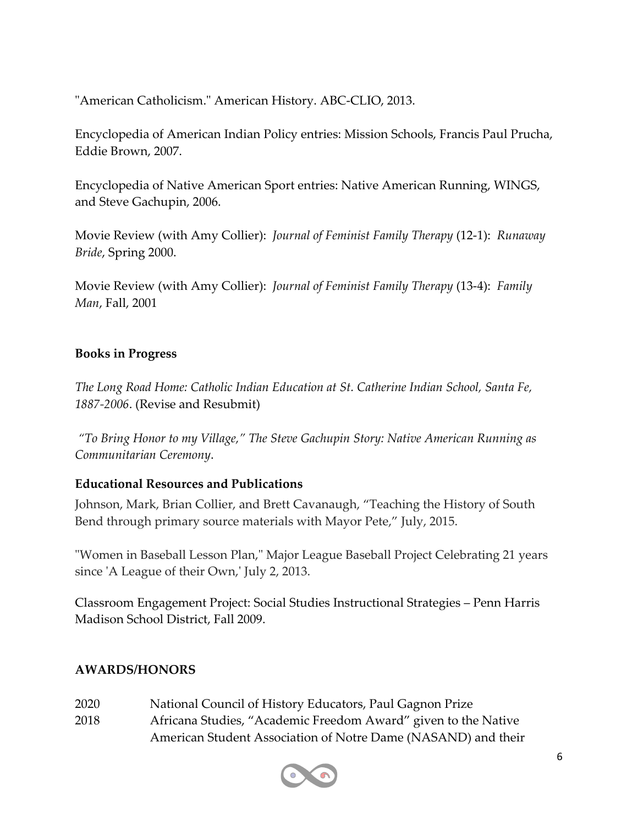"American Catholicism." American History. ABC-CLIO, 2013.

Encyclopedia of American Indian Policy entries: Mission Schools, Francis Paul Prucha, Eddie Brown, 2007.

Encyclopedia of Native American Sport entries: Native American Running, WINGS, and Steve Gachupin, 2006.

Movie Review (with Amy Collier): *Journal of Feminist Family Therapy* (12-1): *Runaway Bride*, Spring 2000.

Movie Review (with Amy Collier): *Journal of Feminist Family Therapy* (13-4): *Family Man*, Fall, 2001

#### **Books in Progress**

*The Long Road Home: Catholic Indian Education at St. Catherine Indian School, Santa Fe, 1887-2006*. (Revise and Resubmit)

*"To Bring Honor to my Village," The Steve Gachupin Story: Native American Running as Communitarian Ceremony*.

#### **Educational Resources and Publications**

Johnson, Mark, Brian Collier, and Brett Cavanaugh, "Teaching the History of South Bend through primary source materials with Mayor Pete," July, 2015.

"Women in Baseball Lesson Plan," Major League Baseball Project Celebrating 21 years since 'A League of their Own,' July 2, 2013.

Classroom Engagement Project: Social Studies Instructional Strategies – Penn Harris Madison School District, Fall 2009.

#### **AWARDS/HONORS**

- 2020 National Council of History Educators, Paul Gagnon Prize
- 2018 Africana Studies, "Academic Freedom Award" given to the Native American Student Association of Notre Dame (NASAND) and their

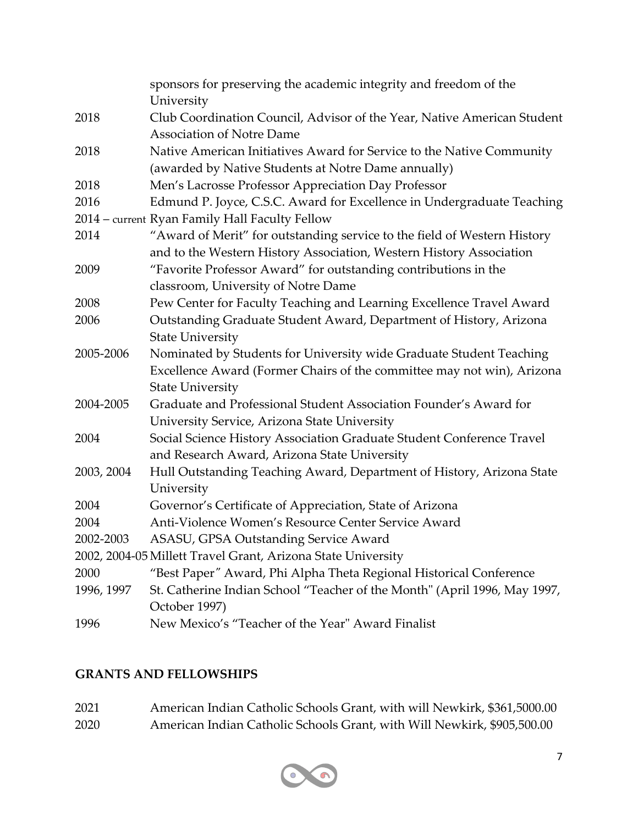|            | sponsors for preserving the academic integrity and freedom of the         |
|------------|---------------------------------------------------------------------------|
|            | University                                                                |
| 2018       | Club Coordination Council, Advisor of the Year, Native American Student   |
|            | <b>Association of Notre Dame</b>                                          |
| 2018       | Native American Initiatives Award for Service to the Native Community     |
|            | (awarded by Native Students at Notre Dame annually)                       |
| 2018       | Men's Lacrosse Professor Appreciation Day Professor                       |
| 2016       | Edmund P. Joyce, C.S.C. Award for Excellence in Undergraduate Teaching    |
|            | 2014 – current Ryan Family Hall Faculty Fellow                            |
| 2014       | "Award of Merit" for outstanding service to the field of Western History  |
|            | and to the Western History Association, Western History Association       |
| 2009       | "Favorite Professor Award" for outstanding contributions in the           |
|            | classroom, University of Notre Dame                                       |
| 2008       | Pew Center for Faculty Teaching and Learning Excellence Travel Award      |
| 2006       | Outstanding Graduate Student Award, Department of History, Arizona        |
|            | <b>State University</b>                                                   |
| 2005-2006  | Nominated by Students for University wide Graduate Student Teaching       |
|            | Excellence Award (Former Chairs of the committee may not win), Arizona    |
|            | <b>State University</b>                                                   |
| 2004-2005  | Graduate and Professional Student Association Founder's Award for         |
|            | University Service, Arizona State University                              |
| 2004       | Social Science History Association Graduate Student Conference Travel     |
|            | and Research Award, Arizona State University                              |
| 2003, 2004 | Hull Outstanding Teaching Award, Department of History, Arizona State     |
|            | University                                                                |
| 2004       | Governor's Certificate of Appreciation, State of Arizona                  |
| 2004       | Anti-Violence Women's Resource Center Service Award                       |
| 2002-2003  | ASASU, GPSA Outstanding Service Award                                     |
|            | 2002, 2004-05 Millett Travel Grant, Arizona State University              |
| 2000       | "Best Paper" Award, Phi Alpha Theta Regional Historical Conference        |
| 1996, 1997 | St. Catherine Indian School "Teacher of the Month" (April 1996, May 1997, |
|            | October 1997)                                                             |
| 1996       | New Mexico's "Teacher of the Year" Award Finalist                         |

# **GRANTS AND FELLOWSHIPS**

| 2021 | American Indian Catholic Schools Grant, with will Newkirk, \$361,5000.00 |
|------|--------------------------------------------------------------------------|
| 2020 | American Indian Catholic Schools Grant, with Will Newkirk, \$905,500.00  |

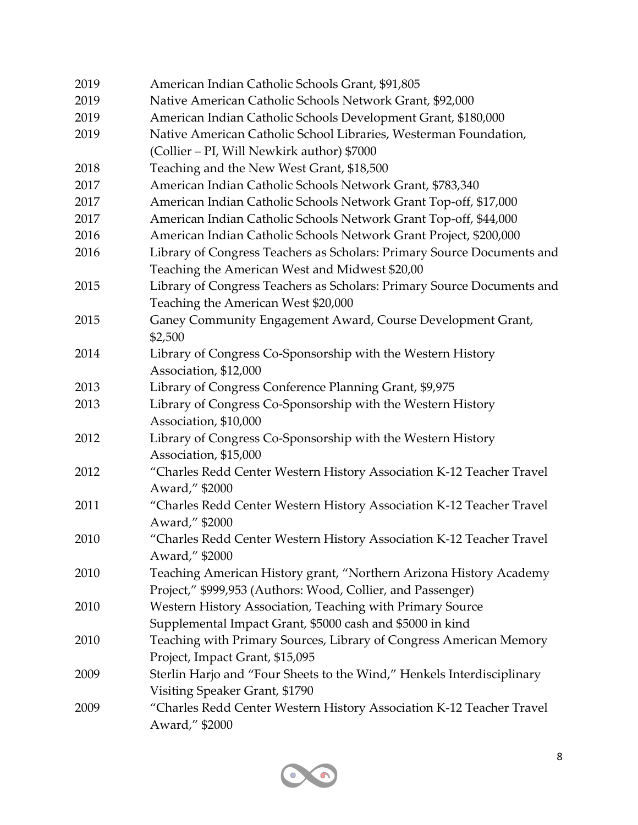| 2019 | American Indian Catholic Schools Grant, \$91,805                       |
|------|------------------------------------------------------------------------|
| 2019 | Native American Catholic Schools Network Grant, \$92,000               |
| 2019 | American Indian Catholic Schools Development Grant, \$180,000          |
| 2019 | Native American Catholic School Libraries, Westerman Foundation,       |
|      | (Collier – PI, Will Newkirk author) \$7000                             |
| 2018 | Teaching and the New West Grant, \$18,500                              |
| 2017 | American Indian Catholic Schools Network Grant, \$783,340              |
| 2017 | American Indian Catholic Schools Network Grant Top-off, \$17,000       |
| 2017 | American Indian Catholic Schools Network Grant Top-off, \$44,000       |
| 2016 | American Indian Catholic Schools Network Grant Project, \$200,000      |
| 2016 | Library of Congress Teachers as Scholars: Primary Source Documents and |
|      | Teaching the American West and Midwest \$20,00                         |
| 2015 | Library of Congress Teachers as Scholars: Primary Source Documents and |
|      | Teaching the American West \$20,000                                    |
| 2015 | Ganey Community Engagement Award, Course Development Grant,            |
|      | \$2,500                                                                |
| 2014 | Library of Congress Co-Sponsorship with the Western History            |
|      | Association, \$12,000                                                  |
| 2013 | Library of Congress Conference Planning Grant, \$9,975                 |
| 2013 | Library of Congress Co-Sponsorship with the Western History            |
|      | Association, \$10,000                                                  |
| 2012 | Library of Congress Co-Sponsorship with the Western History            |
|      | Association, \$15,000                                                  |
| 2012 | "Charles Redd Center Western History Association K-12 Teacher Travel   |
|      | Award," \$2000                                                         |
| 2011 | "Charles Redd Center Western History Association K-12 Teacher Travel   |
|      | Award," \$2000                                                         |
| 2010 | "Charles Redd Center Western History Association K-12 Teacher Travel   |
|      | Award," \$2000                                                         |
| 2010 | Teaching American History grant, "Northern Arizona History Academy     |
|      | Project," \$999,953 (Authors: Wood, Collier, and Passenger)            |
| 2010 | Western History Association, Teaching with Primary Source              |
|      | Supplemental Impact Grant, \$5000 cash and \$5000 in kind              |
| 2010 | Teaching with Primary Sources, Library of Congress American Memory     |
|      | Project, Impact Grant, \$15,095                                        |
| 2009 | Sterlin Harjo and "Four Sheets to the Wind," Henkels Interdisciplinary |
|      | Visiting Speaker Grant, \$1790                                         |
| 2009 | "Charles Redd Center Western History Association K-12 Teacher Travel   |
|      | Award," \$2000                                                         |

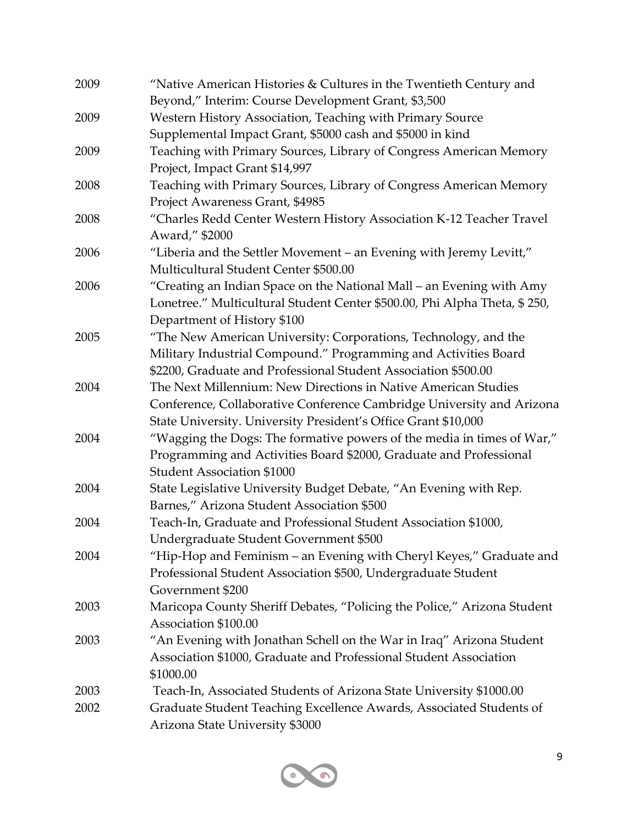| 2009 | "Native American Histories & Cultures in the Twentieth Century and        |
|------|---------------------------------------------------------------------------|
|      | Beyond," Interim: Course Development Grant, \$3,500                       |
| 2009 | Western History Association, Teaching with Primary Source                 |
|      | Supplemental Impact Grant, \$5000 cash and \$5000 in kind                 |
| 2009 | Teaching with Primary Sources, Library of Congress American Memory        |
|      | Project, Impact Grant \$14,997                                            |
| 2008 | Teaching with Primary Sources, Library of Congress American Memory        |
|      | Project Awareness Grant, \$4985                                           |
| 2008 | "Charles Redd Center Western History Association K-12 Teacher Travel      |
|      | Award," \$2000                                                            |
| 2006 | "Liberia and the Settler Movement - an Evening with Jeremy Levitt,"       |
|      | Multicultural Student Center \$500.00                                     |
| 2006 | "Creating an Indian Space on the National Mall – an Evening with Amy      |
|      | Lonetree." Multicultural Student Center \$500.00, Phi Alpha Theta, \$250, |
|      | Department of History \$100                                               |
| 2005 | "The New American University: Corporations, Technology, and the           |
|      | Military Industrial Compound." Programming and Activities Board           |
|      | \$2200, Graduate and Professional Student Association \$500.00            |
| 2004 | The Next Millennium: New Directions in Native American Studies            |
|      | Conference, Collaborative Conference Cambridge University and Arizona     |
|      | State University. University President's Office Grant \$10,000            |
| 2004 | "Wagging the Dogs: The formative powers of the media in times of War,"    |
|      | Programming and Activities Board \$2000, Graduate and Professional        |
|      | <b>Student Association \$1000</b>                                         |
| 2004 | State Legislative University Budget Debate, "An Evening with Rep.         |
|      | Barnes," Arizona Student Association \$500                                |
| 2004 | Teach-In, Graduate and Professional Student Association \$1000,           |
|      | Undergraduate Student Government \$500                                    |
| 2004 | "Hip-Hop and Feminism – an Evening with Cheryl Keyes," Graduate and       |
|      | Professional Student Association \$500, Undergraduate Student             |
|      | Government \$200                                                          |
| 2003 | Maricopa County Sheriff Debates, "Policing the Police," Arizona Student   |
|      | Association \$100.00                                                      |
| 2003 | "An Evening with Jonathan Schell on the War in Iraq" Arizona Student      |
|      | Association \$1000, Graduate and Professional Student Association         |
|      | \$1000.00                                                                 |
| 2003 | Teach-In, Associated Students of Arizona State University \$1000.00       |
| 2002 | Graduate Student Teaching Excellence Awards, Associated Students of       |
|      | Arizona State University \$3000                                           |

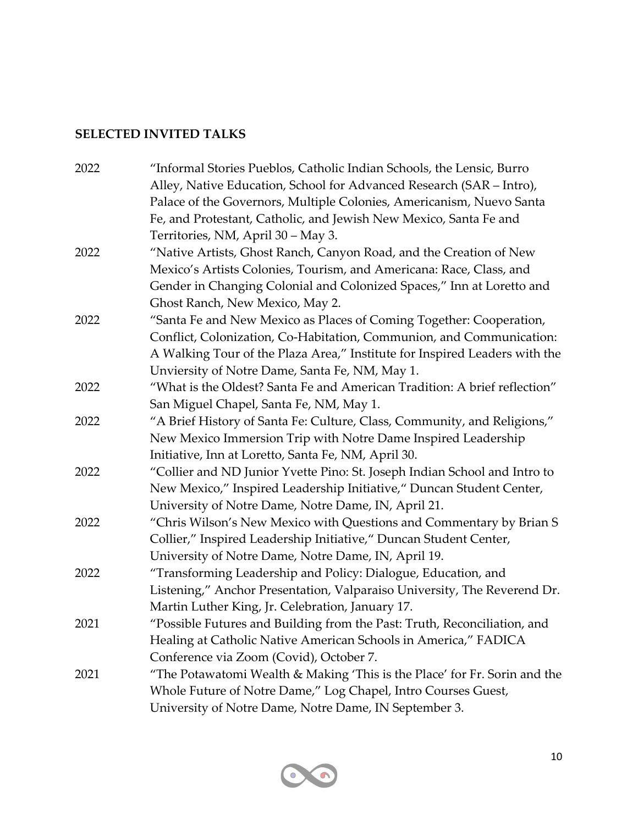#### **SELECTED INVITED TALKS**

| 2022 | "Informal Stories Pueblos, Catholic Indian Schools, the Lensic, Burro      |
|------|----------------------------------------------------------------------------|
|      | Alley, Native Education, School for Advanced Research (SAR - Intro),       |
|      | Palace of the Governors, Multiple Colonies, Americanism, Nuevo Santa       |
|      | Fe, and Protestant, Catholic, and Jewish New Mexico, Santa Fe and          |
|      | Territories, NM, April 30 - May 3.                                         |
| 2022 | "Native Artists, Ghost Ranch, Canyon Road, and the Creation of New         |
|      | Mexico's Artists Colonies, Tourism, and Americana: Race, Class, and        |
|      | Gender in Changing Colonial and Colonized Spaces," Inn at Loretto and      |
|      | Ghost Ranch, New Mexico, May 2.                                            |
| 2022 | "Santa Fe and New Mexico as Places of Coming Together: Cooperation,        |
|      | Conflict, Colonization, Co-Habitation, Communion, and Communication:       |
|      | A Walking Tour of the Plaza Area," Institute for Inspired Leaders with the |
|      | Unviersity of Notre Dame, Santa Fe, NM, May 1.                             |
| 2022 | "What is the Oldest? Santa Fe and American Tradition: A brief reflection"  |
|      | San Miguel Chapel, Santa Fe, NM, May 1.                                    |
| 2022 | "A Brief History of Santa Fe: Culture, Class, Community, and Religions,"   |
|      | New Mexico Immersion Trip with Notre Dame Inspired Leadership              |
|      | Initiative, Inn at Loretto, Santa Fe, NM, April 30.                        |
| 2022 | "Collier and ND Junior Yvette Pino: St. Joseph Indian School and Intro to  |
|      | New Mexico," Inspired Leadership Initiative," Duncan Student Center,       |
|      | University of Notre Dame, Notre Dame, IN, April 21.                        |
| 2022 | "Chris Wilson's New Mexico with Questions and Commentary by Brian S        |
|      | Collier," Inspired Leadership Initiative," Duncan Student Center,          |
|      | University of Notre Dame, Notre Dame, IN, April 19.                        |
| 2022 | "Transforming Leadership and Policy: Dialogue, Education, and              |
|      | Listening," Anchor Presentation, Valparaiso University, The Reverend Dr.   |
|      | Martin Luther King, Jr. Celebration, January 17.                           |
| 2021 | "Possible Futures and Building from the Past: Truth, Reconciliation, and   |
|      | Healing at Catholic Native American Schools in America," FADICA            |
|      | Conference via Zoom (Covid), October 7.                                    |
| 2021 | "The Potawatomi Wealth & Making 'This is the Place' for Fr. Sorin and the  |
|      | Whole Future of Notre Dame," Log Chapel, Intro Courses Guest,              |
|      | University of Notre Dame, Notre Dame, IN September 3.                      |

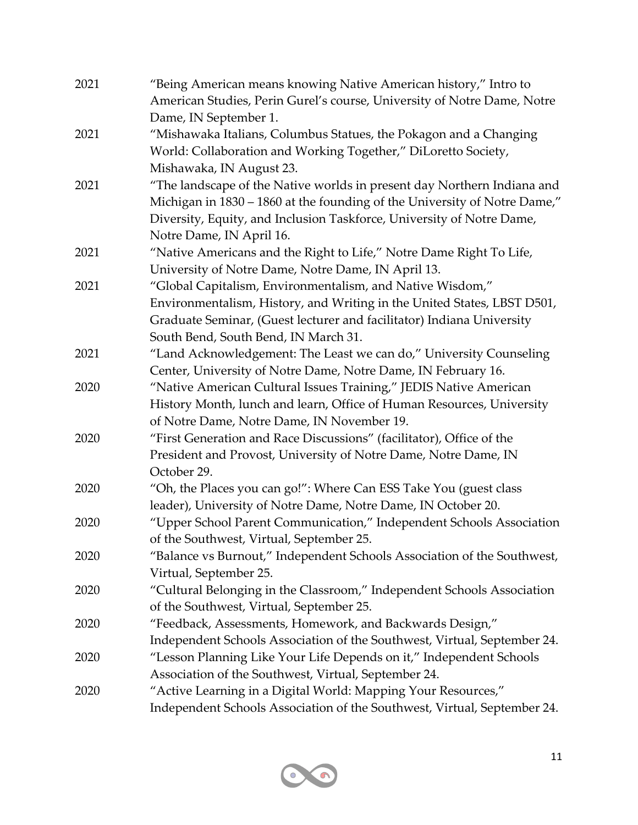| 2021 | "Being American means knowing Native American history," Intro to          |
|------|---------------------------------------------------------------------------|
|      | American Studies, Perin Gurel's course, University of Notre Dame, Notre   |
|      | Dame, IN September 1.                                                     |
| 2021 | "Mishawaka Italians, Columbus Statues, the Pokagon and a Changing         |
|      | World: Collaboration and Working Together," DiLoretto Society,            |
|      | Mishawaka, IN August 23.                                                  |
| 2021 | "The landscape of the Native worlds in present day Northern Indiana and   |
|      | Michigan in 1830 - 1860 at the founding of the University of Notre Dame," |
|      | Diversity, Equity, and Inclusion Taskforce, University of Notre Dame,     |
|      | Notre Dame, IN April 16.                                                  |
| 2021 | "Native Americans and the Right to Life," Notre Dame Right To Life,       |
|      | University of Notre Dame, Notre Dame, IN April 13.                        |
| 2021 | "Global Capitalism, Environmentalism, and Native Wisdom,"                 |
|      | Environmentalism, History, and Writing in the United States, LBST D501,   |
|      | Graduate Seminar, (Guest lecturer and facilitator) Indiana University     |
|      | South Bend, South Bend, IN March 31.                                      |
| 2021 | "Land Acknowledgement: The Least we can do," University Counseling        |
|      | Center, University of Notre Dame, Notre Dame, IN February 16.             |
| 2020 | "Native American Cultural Issues Training," JEDIS Native American         |
|      | History Month, lunch and learn, Office of Human Resources, University     |
|      | of Notre Dame, Notre Dame, IN November 19.                                |
| 2020 | "First Generation and Race Discussions" (facilitator), Office of the      |
|      | President and Provost, University of Notre Dame, Notre Dame, IN           |
|      | October 29.                                                               |
| 2020 | "Oh, the Places you can go!": Where Can ESS Take You (guest class         |
|      | leader), University of Notre Dame, Notre Dame, IN October 20.             |
| 2020 | "Upper School Parent Communication," Independent Schools Association      |
|      | of the Southwest, Virtual, September 25.                                  |
| 2020 | "Balance vs Burnout," Independent Schools Association of the Southwest,   |
|      | Virtual, September 25.                                                    |
| 2020 | "Cultural Belonging in the Classroom," Independent Schools Association    |
|      | of the Southwest, Virtual, September 25.                                  |
| 2020 | "Feedback, Assessments, Homework, and Backwards Design,"                  |
|      | Independent Schools Association of the Southwest, Virtual, September 24.  |
| 2020 | "Lesson Planning Like Your Life Depends on it," Independent Schools       |
|      | Association of the Southwest, Virtual, September 24.                      |
| 2020 | "Active Learning in a Digital World: Mapping Your Resources,"             |
|      | Independent Schools Association of the Southwest, Virtual, September 24.  |

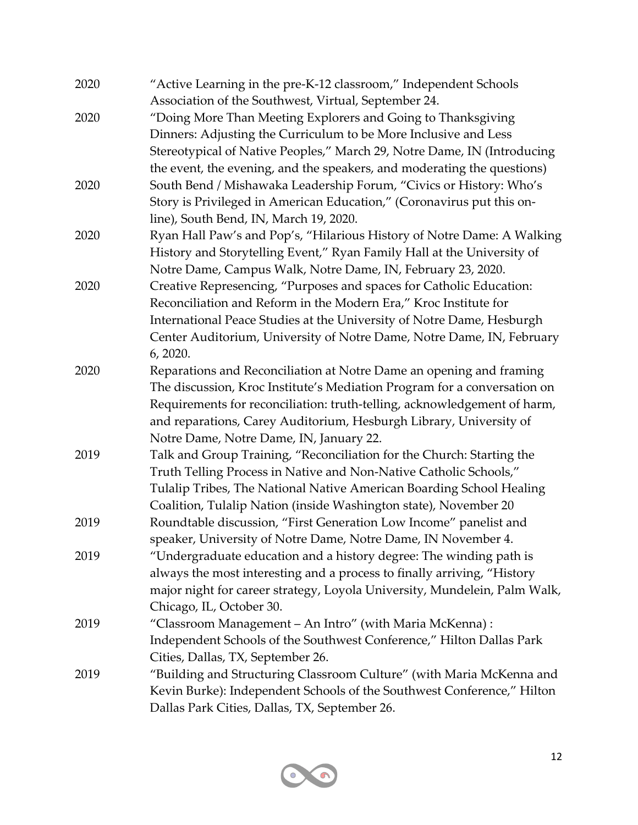| 2020 | "Active Learning in the pre-K-12 classroom," Independent Schools<br>Association of the Southwest, Virtual, September 24. |
|------|--------------------------------------------------------------------------------------------------------------------------|
| 2020 | "Doing More Than Meeting Explorers and Going to Thanksgiving                                                             |
|      | Dinners: Adjusting the Curriculum to be More Inclusive and Less                                                          |
|      | Stereotypical of Native Peoples," March 29, Notre Dame, IN (Introducing                                                  |
|      | the event, the evening, and the speakers, and moderating the questions)                                                  |
| 2020 | South Bend / Mishawaka Leadership Forum, "Civics or History: Who's                                                       |
|      | Story is Privileged in American Education," (Coronavirus put this on-                                                    |
|      | line), South Bend, IN, March 19, 2020.                                                                                   |
| 2020 | Ryan Hall Paw's and Pop's, "Hilarious History of Notre Dame: A Walking                                                   |
|      | History and Storytelling Event," Ryan Family Hall at the University of                                                   |
|      | Notre Dame, Campus Walk, Notre Dame, IN, February 23, 2020.                                                              |
| 2020 | Creative Represencing, "Purposes and spaces for Catholic Education:                                                      |
|      | Reconciliation and Reform in the Modern Era," Kroc Institute for                                                         |
|      | International Peace Studies at the University of Notre Dame, Hesburgh                                                    |
|      | Center Auditorium, University of Notre Dame, Notre Dame, IN, February                                                    |
|      | 6, 2020.                                                                                                                 |
| 2020 | Reparations and Reconciliation at Notre Dame an opening and framing                                                      |
|      | The discussion, Kroc Institute's Mediation Program for a conversation on                                                 |
|      | Requirements for reconciliation: truth-telling, acknowledgement of harm,                                                 |
|      | and reparations, Carey Auditorium, Hesburgh Library, University of                                                       |
|      | Notre Dame, Notre Dame, IN, January 22.                                                                                  |
| 2019 | Talk and Group Training, "Reconciliation for the Church: Starting the                                                    |
|      | Truth Telling Process in Native and Non-Native Catholic Schools,"                                                        |
|      | Tulalip Tribes, The National Native American Boarding School Healing                                                     |
|      | Coalition, Tulalip Nation (inside Washington state), November 20                                                         |
| 2019 | Roundtable discussion, "First Generation Low Income" panelist and                                                        |
|      | speaker, University of Notre Dame, Notre Dame, IN November 4.                                                            |
| 2019 | "Undergraduate education and a history degree: The winding path is                                                       |
|      | always the most interesting and a process to finally arriving, "History                                                  |
|      | major night for career strategy, Loyola University, Mundelein, Palm Walk,                                                |
|      | Chicago, IL, October 30.                                                                                                 |
| 2019 | "Classroom Management - An Intro" (with Maria McKenna):                                                                  |
|      | Independent Schools of the Southwest Conference," Hilton Dallas Park                                                     |
|      | Cities, Dallas, TX, September 26.                                                                                        |
| 2019 | "Building and Structuring Classroom Culture" (with Maria McKenna and                                                     |
|      | Kevin Burke): Independent Schools of the Southwest Conference," Hilton                                                   |
|      | Dallas Park Cities, Dallas, TX, September 26.                                                                            |

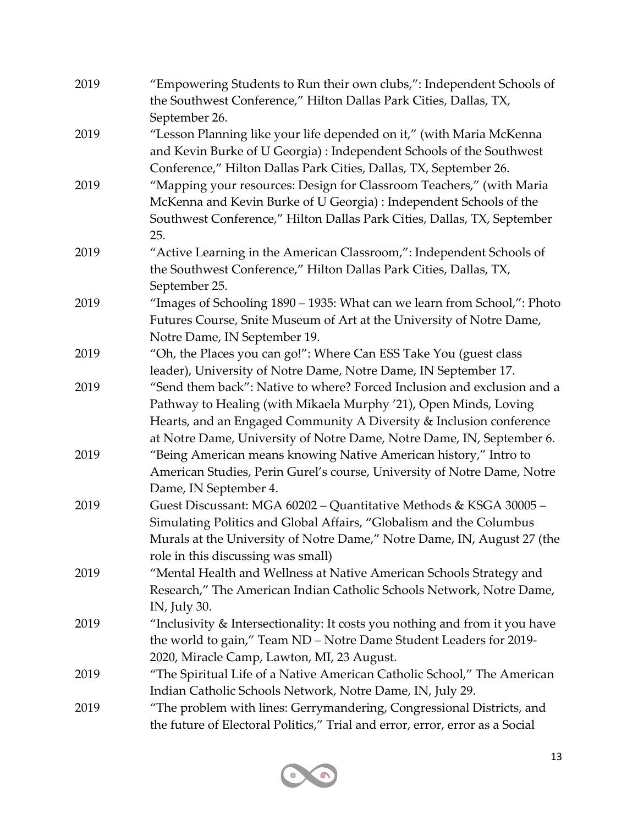| 2019 | "Empowering Students to Run their own clubs,": Independent Schools of<br>the Southwest Conference," Hilton Dallas Park Cities, Dallas, TX, |
|------|--------------------------------------------------------------------------------------------------------------------------------------------|
|      | September 26.                                                                                                                              |
| 2019 | "Lesson Planning like your life depended on it," (with Maria McKenna                                                                       |
|      | and Kevin Burke of U Georgia): Independent Schools of the Southwest                                                                        |
|      | Conference," Hilton Dallas Park Cities, Dallas, TX, September 26.                                                                          |
| 2019 | "Mapping your resources: Design for Classroom Teachers," (with Maria                                                                       |
|      | McKenna and Kevin Burke of U Georgia) : Independent Schools of the                                                                         |
|      | Southwest Conference," Hilton Dallas Park Cities, Dallas, TX, September                                                                    |
|      | 25.                                                                                                                                        |
| 2019 | "Active Learning in the American Classroom,": Independent Schools of                                                                       |
|      | the Southwest Conference," Hilton Dallas Park Cities, Dallas, TX,                                                                          |
|      | September 25.                                                                                                                              |
| 2019 | "Images of Schooling 1890 - 1935: What can we learn from School,": Photo                                                                   |
|      | Futures Course, Snite Museum of Art at the University of Notre Dame,                                                                       |
|      | Notre Dame, IN September 19.                                                                                                               |
| 2019 | "Oh, the Places you can go!": Where Can ESS Take You (guest class                                                                          |
|      | leader), University of Notre Dame, Notre Dame, IN September 17.                                                                            |
| 2019 | "Send them back": Native to where? Forced Inclusion and exclusion and a                                                                    |
|      | Pathway to Healing (with Mikaela Murphy '21), Open Minds, Loving                                                                           |
|      | Hearts, and an Engaged Community A Diversity & Inclusion conference                                                                        |
|      | at Notre Dame, University of Notre Dame, Notre Dame, IN, September 6.                                                                      |
| 2019 | "Being American means knowing Native American history," Intro to                                                                           |
|      | American Studies, Perin Gurel's course, University of Notre Dame, Notre                                                                    |
|      | Dame, IN September 4.                                                                                                                      |
| 2019 | Guest Discussant: MGA 60202 - Quantitative Methods & KSGA 30005 -                                                                          |
|      | Simulating Politics and Global Affairs, "Globalism and the Columbus                                                                        |
|      | Murals at the University of Notre Dame," Notre Dame, IN, August 27 (the                                                                    |
|      | role in this discussing was small)                                                                                                         |
| 2019 | "Mental Health and Wellness at Native American Schools Strategy and                                                                        |
|      | Research," The American Indian Catholic Schools Network, Notre Dame,                                                                       |
|      | IN, July 30.                                                                                                                               |
| 2019 | "Inclusivity & Intersectionality: It costs you nothing and from it you have                                                                |
|      | the world to gain," Team ND - Notre Dame Student Leaders for 2019-                                                                         |
|      | 2020, Miracle Camp, Lawton, MI, 23 August.                                                                                                 |
| 2019 | "The Spiritual Life of a Native American Catholic School," The American                                                                    |
|      | Indian Catholic Schools Network, Notre Dame, IN, July 29.                                                                                  |
| 2019 | "The problem with lines: Gerrymandering, Congressional Districts, and                                                                      |
|      | the future of Electoral Politics," Trial and error, error, error as a Social                                                               |

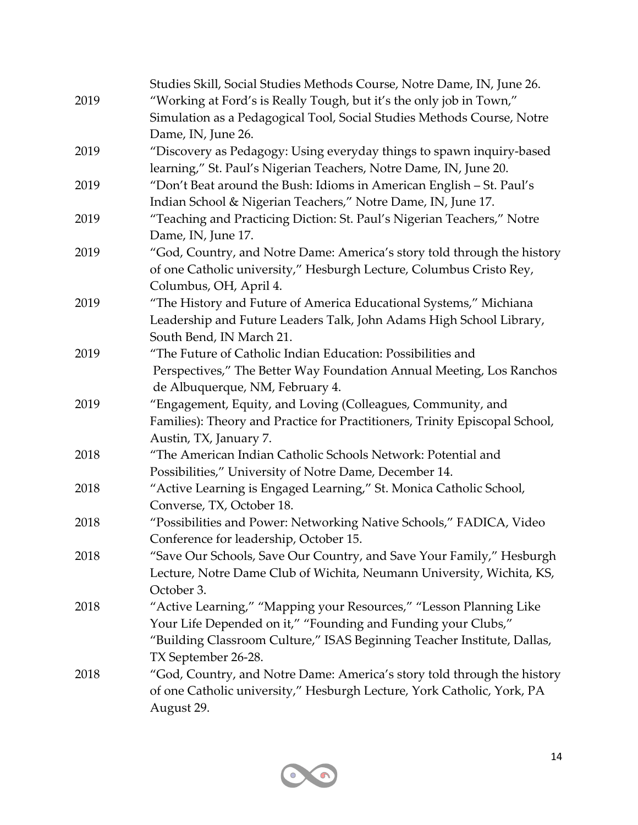|      | Studies Skill, Social Studies Methods Course, Notre Dame, IN, June 26.      |
|------|-----------------------------------------------------------------------------|
| 2019 | "Working at Ford's is Really Tough, but it's the only job in Town,"         |
|      | Simulation as a Pedagogical Tool, Social Studies Methods Course, Notre      |
|      | Dame, IN, June 26.                                                          |
| 2019 | "Discovery as Pedagogy: Using everyday things to spawn inquiry-based        |
|      | learning," St. Paul's Nigerian Teachers, Notre Dame, IN, June 20.           |
| 2019 | "Don't Beat around the Bush: Idioms in American English - St. Paul's        |
|      | Indian School & Nigerian Teachers," Notre Dame, IN, June 17.                |
| 2019 | "Teaching and Practicing Diction: St. Paul's Nigerian Teachers," Notre      |
|      | Dame, IN, June 17.                                                          |
| 2019 | "God, Country, and Notre Dame: America's story told through the history     |
|      | of one Catholic university," Hesburgh Lecture, Columbus Cristo Rey,         |
|      | Columbus, OH, April 4.                                                      |
| 2019 | "The History and Future of America Educational Systems," Michiana           |
|      | Leadership and Future Leaders Talk, John Adams High School Library,         |
|      | South Bend, IN March 21.                                                    |
| 2019 | "The Future of Catholic Indian Education: Possibilities and                 |
|      | Perspectives," The Better Way Foundation Annual Meeting, Los Ranchos        |
|      | de Albuquerque, NM, February 4.                                             |
| 2019 | "Engagement, Equity, and Loving (Colleagues, Community, and                 |
|      | Families): Theory and Practice for Practitioners, Trinity Episcopal School, |
|      | Austin, TX, January 7.                                                      |
| 2018 | "The American Indian Catholic Schools Network: Potential and                |
|      | Possibilities," University of Notre Dame, December 14.                      |
| 2018 | "Active Learning is Engaged Learning," St. Monica Catholic School,          |
|      | Converse, TX, October 18.                                                   |
| 2018 | "Possibilities and Power: Networking Native Schools," FADICA, Video         |
|      | Conference for leadership, October 15.                                      |
| 2018 | "Save Our Schools, Save Our Country, and Save Your Family," Hesburgh        |
|      | Lecture, Notre Dame Club of Wichita, Neumann University, Wichita, KS,       |
|      | October 3.                                                                  |
| 2018 | "Active Learning," "Mapping your Resources," "Lesson Planning Like          |
|      | Your Life Depended on it," "Founding and Funding your Clubs,"               |
|      | "Building Classroom Culture," ISAS Beginning Teacher Institute, Dallas,     |
|      | TX September 26-28.                                                         |
| 2018 | "God, Country, and Notre Dame: America's story told through the history     |
|      | of one Catholic university," Hesburgh Lecture, York Catholic, York, PA      |
|      | August 29.                                                                  |

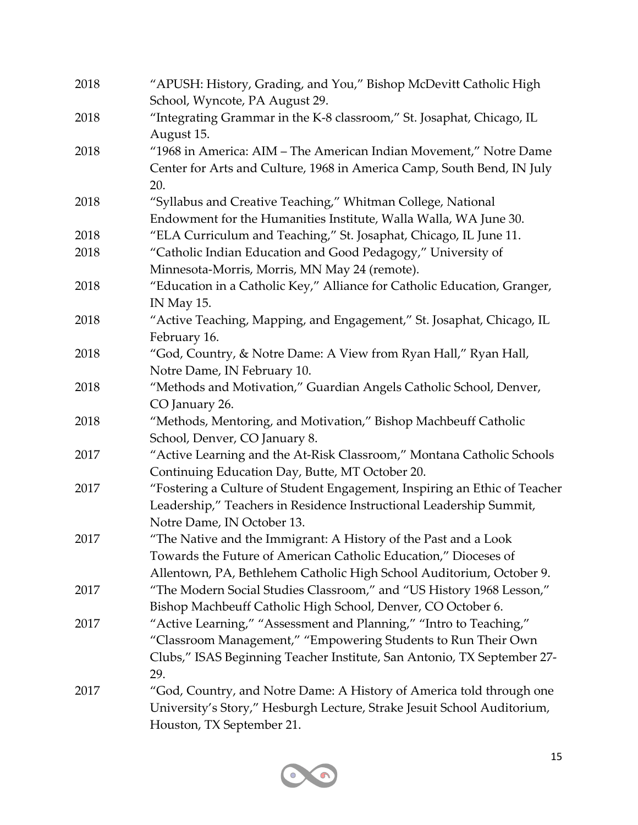| 2018 | "APUSH: History, Grading, and You," Bishop McDevitt Catholic High<br>School, Wyncote, PA August 29. |
|------|-----------------------------------------------------------------------------------------------------|
| 2018 | "Integrating Grammar in the K-8 classroom," St. Josaphat, Chicago, IL                               |
|      | August 15.                                                                                          |
| 2018 | "1968 in America: AIM – The American Indian Movement," Notre Dame                                   |
|      | Center for Arts and Culture, 1968 in America Camp, South Bend, IN July                              |
|      | 20.                                                                                                 |
| 2018 | "Syllabus and Creative Teaching," Whitman College, National                                         |
|      | Endowment for the Humanities Institute, Walla Walla, WA June 30.                                    |
| 2018 | "ELA Curriculum and Teaching," St. Josaphat, Chicago, IL June 11.                                   |
| 2018 | "Catholic Indian Education and Good Pedagogy," University of                                        |
|      | Minnesota-Morris, Morris, MN May 24 (remote).                                                       |
| 2018 | "Education in a Catholic Key," Alliance for Catholic Education, Granger,                            |
|      | IN May 15.                                                                                          |
| 2018 | "Active Teaching, Mapping, and Engagement," St. Josaphat, Chicago, IL                               |
|      | February 16.                                                                                        |
| 2018 | "God, Country, & Notre Dame: A View from Ryan Hall," Ryan Hall,                                     |
|      | Notre Dame, IN February 10.                                                                         |
| 2018 | "Methods and Motivation," Guardian Angels Catholic School, Denver,                                  |
|      | CO January 26.                                                                                      |
| 2018 | "Methods, Mentoring, and Motivation," Bishop Machbeuff Catholic                                     |
|      | School, Denver, CO January 8.                                                                       |
| 2017 | "Active Learning and the At-Risk Classroom," Montana Catholic Schools                               |
|      | Continuing Education Day, Butte, MT October 20.                                                     |
| 2017 | "Fostering a Culture of Student Engagement, Inspiring an Ethic of Teacher                           |
|      | Leadership," Teachers in Residence Instructional Leadership Summit,                                 |
|      | Notre Dame, IN October 13.                                                                          |
| 2017 | "The Native and the Immigrant: A History of the Past and a Look                                     |
|      | Towards the Future of American Catholic Education," Dioceses of                                     |
|      | Allentown, PA, Bethlehem Catholic High School Auditorium, October 9.                                |
| 2017 | "The Modern Social Studies Classroom," and "US History 1968 Lesson,"                                |
|      | Bishop Machbeuff Catholic High School, Denver, CO October 6.                                        |
| 2017 | "Active Learning," "Assessment and Planning," "Intro to Teaching,"                                  |
|      | "Classroom Management," "Empowering Students to Run Their Own                                       |
|      | Clubs," ISAS Beginning Teacher Institute, San Antonio, TX September 27-                             |
|      | 29.                                                                                                 |
| 2017 | "God, Country, and Notre Dame: A History of America told through one                                |
|      | University's Story," Hesburgh Lecture, Strake Jesuit School Auditorium,                             |
|      | Houston, TX September 21.                                                                           |

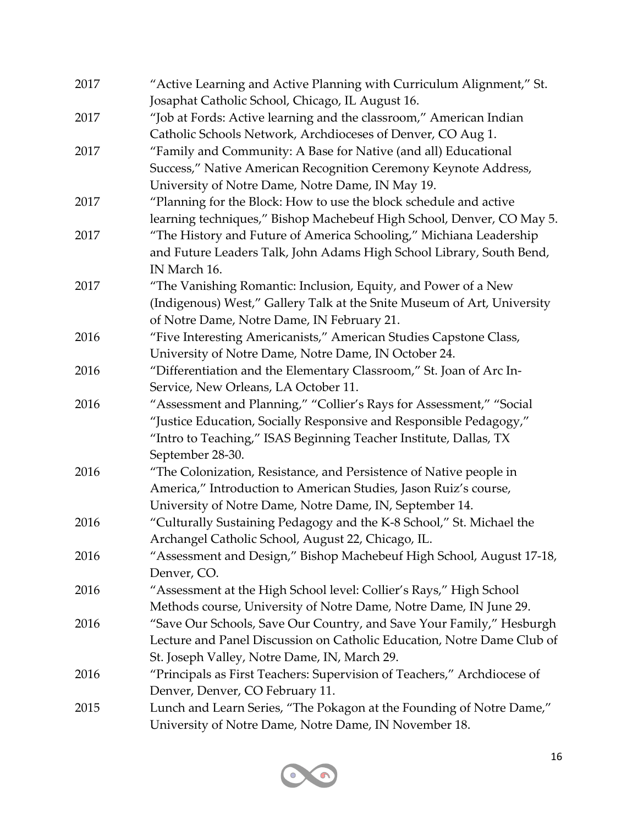| 2017 | "Active Learning and Active Planning with Curriculum Alignment," St.    |
|------|-------------------------------------------------------------------------|
|      | Josaphat Catholic School, Chicago, IL August 16.                        |
| 2017 | "Job at Fords: Active learning and the classroom," American Indian      |
|      | Catholic Schools Network, Archdioceses of Denver, CO Aug 1.             |
| 2017 | "Family and Community: A Base for Native (and all) Educational          |
|      | Success," Native American Recognition Ceremony Keynote Address,         |
|      | University of Notre Dame, Notre Dame, IN May 19.                        |
| 2017 | "Planning for the Block: How to use the block schedule and active       |
|      | learning techniques," Bishop Machebeuf High School, Denver, CO May 5.   |
| 2017 | "The History and Future of America Schooling," Michiana Leadership      |
|      | and Future Leaders Talk, John Adams High School Library, South Bend,    |
|      | IN March 16.                                                            |
| 2017 | "The Vanishing Romantic: Inclusion, Equity, and Power of a New          |
|      | (Indigenous) West," Gallery Talk at the Snite Museum of Art, University |
|      | of Notre Dame, Notre Dame, IN February 21.                              |
| 2016 | "Five Interesting Americanists," American Studies Capstone Class,       |
|      | University of Notre Dame, Notre Dame, IN October 24.                    |
| 2016 | "Differentiation and the Elementary Classroom," St. Joan of Arc In-     |
|      | Service, New Orleans, LA October 11.                                    |
| 2016 | "Assessment and Planning," "Collier's Rays for Assessment," "Social     |
|      | "Justice Education, Socially Responsive and Responsible Pedagogy,"      |
|      | "Intro to Teaching," ISAS Beginning Teacher Institute, Dallas, TX       |
|      | September 28-30.                                                        |
| 2016 | "The Colonization, Resistance, and Persistence of Native people in      |
|      | America," Introduction to American Studies, Jason Ruiz's course,        |
|      | University of Notre Dame, Notre Dame, IN, September 14.                 |
| 2016 | "Culturally Sustaining Pedagogy and the K-8 School," St. Michael the    |
|      | Archangel Catholic School, August 22, Chicago, IL.                      |
| 2016 | "Assessment and Design," Bishop Machebeuf High School, August 17-18,    |
|      | Denver, CO.                                                             |
| 2016 | "Assessment at the High School level: Collier's Rays," High School      |
|      | Methods course, University of Notre Dame, Notre Dame, IN June 29.       |
| 2016 | "Save Our Schools, Save Our Country, and Save Your Family," Hesburgh    |
|      | Lecture and Panel Discussion on Catholic Education, Notre Dame Club of  |
|      | St. Joseph Valley, Notre Dame, IN, March 29.                            |
| 2016 | "Principals as First Teachers: Supervision of Teachers," Archdiocese of |
|      | Denver, Denver, CO February 11.                                         |
| 2015 | Lunch and Learn Series, "The Pokagon at the Founding of Notre Dame,"    |
|      | University of Notre Dame, Notre Dame, IN November 18.                   |

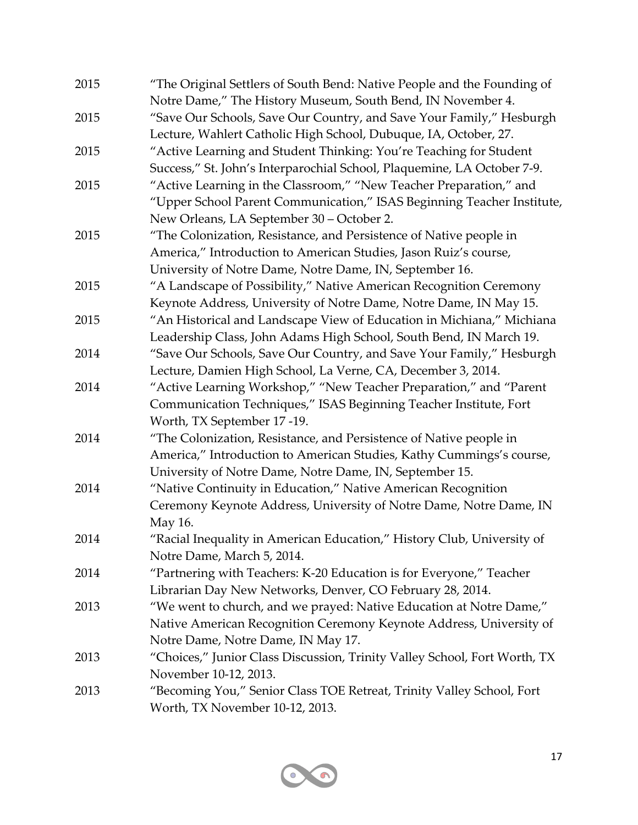| "The Original Settlers of South Bend: Native People and the Founding of   |
|---------------------------------------------------------------------------|
| Notre Dame," The History Museum, South Bend, IN November 4.               |
| "Save Our Schools, Save Our Country, and Save Your Family," Hesburgh      |
| Lecture, Wahlert Catholic High School, Dubuque, IA, October, 27.          |
| "Active Learning and Student Thinking: You're Teaching for Student        |
| Success," St. John's Interparochial School, Plaquemine, LA October 7-9.   |
| "Active Learning in the Classroom," "New Teacher Preparation," and        |
| "Upper School Parent Communication," ISAS Beginning Teacher Institute,    |
| New Orleans, LA September 30 - October 2.                                 |
| "The Colonization, Resistance, and Persistence of Native people in        |
| America," Introduction to American Studies, Jason Ruiz's course,          |
| University of Notre Dame, Notre Dame, IN, September 16.                   |
| "A Landscape of Possibility," Native American Recognition Ceremony        |
| Keynote Address, University of Notre Dame, Notre Dame, IN May 15.         |
| "An Historical and Landscape View of Education in Michiana," Michiana     |
| Leadership Class, John Adams High School, South Bend, IN March 19.        |
| "Save Our Schools, Save Our Country, and Save Your Family," Hesburgh      |
| Lecture, Damien High School, La Verne, CA, December 3, 2014.              |
| "Active Learning Workshop," "New Teacher Preparation," and "Parent        |
| Communication Techniques," ISAS Beginning Teacher Institute, Fort         |
| Worth, TX September 17 -19.                                               |
| "The Colonization, Resistance, and Persistence of Native people in        |
| America," Introduction to American Studies, Kathy Cummings's course,      |
| University of Notre Dame, Notre Dame, IN, September 15.                   |
| "Native Continuity in Education," Native American Recognition             |
| Ceremony Keynote Address, University of Notre Dame, Notre Dame, IN        |
| May 16.                                                                   |
| "Racial Inequality in American Education," History Club, University of    |
| Notre Dame, March 5, 2014.                                                |
| "Partnering with Teachers: K-20 Education is for Everyone," Teacher       |
| Librarian Day New Networks, Denver, CO February 28, 2014.                 |
| "We went to church, and we prayed: Native Education at Notre Dame,"       |
| Native American Recognition Ceremony Keynote Address, University of       |
| Notre Dame, Notre Dame, IN May 17.                                        |
| "Choices," Junior Class Discussion, Trinity Valley School, Fort Worth, TX |
| November 10-12, 2013.                                                     |
| "Becoming You," Senior Class TOE Retreat, Trinity Valley School, Fort     |
| Worth, TX November 10-12, 2013.                                           |
|                                                                           |

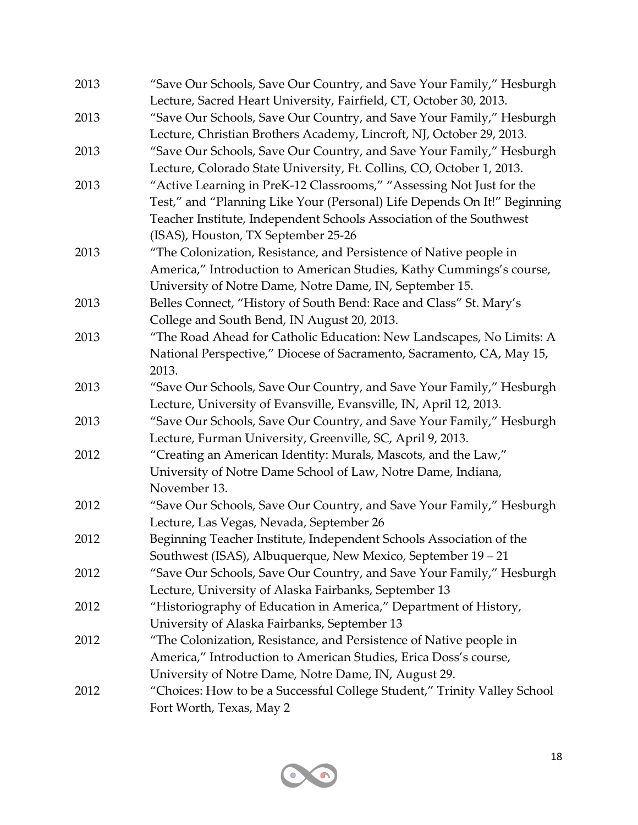| 2013 | "Save Our Schools, Save Our Country, and Save Your Family," Hesburgh<br>Lecture, Sacred Heart University, Fairfield, CT, October 30, 2013. |
|------|--------------------------------------------------------------------------------------------------------------------------------------------|
| 2013 | "Save Our Schools, Save Our Country, and Save Your Family," Hesburgh                                                                       |
|      | Lecture, Christian Brothers Academy, Lincroft, NJ, October 29, 2013.                                                                       |
| 2013 | "Save Our Schools, Save Our Country, and Save Your Family," Hesburgh                                                                       |
|      | Lecture, Colorado State University, Ft. Collins, CO, October 1, 2013.                                                                      |
| 2013 | "Active Learning in PreK-12 Classrooms," "Assessing Not Just for the                                                                       |
|      | Test," and "Planning Like Your (Personal) Life Depends On It!" Beginning                                                                   |
|      | Teacher Institute, Independent Schools Association of the Southwest                                                                        |
|      | (ISAS), Houston, TX September 25-26                                                                                                        |
| 2013 | "The Colonization, Resistance, and Persistence of Native people in                                                                         |
|      | America," Introduction to American Studies, Kathy Cummings's course,                                                                       |
|      | University of Notre Dame, Notre Dame, IN, September 15.                                                                                    |
| 2013 | Belles Connect, "History of South Bend: Race and Class" St. Mary's                                                                         |
|      | College and South Bend, IN August 20, 2013.                                                                                                |
| 2013 | "The Road Ahead for Catholic Education: New Landscapes, No Limits: A                                                                       |
|      | National Perspective," Diocese of Sacramento, Sacramento, CA, May 15,                                                                      |
|      | 2013.                                                                                                                                      |
| 2013 | "Save Our Schools, Save Our Country, and Save Your Family," Hesburgh                                                                       |
|      | Lecture, University of Evansville, Evansville, IN, April 12, 2013.                                                                         |
| 2013 | "Save Our Schools, Save Our Country, and Save Your Family," Hesburgh                                                                       |
|      | Lecture, Furman University, Greenville, SC, April 9, 2013.                                                                                 |
| 2012 | "Creating an American Identity: Murals, Mascots, and the Law,"                                                                             |
|      | University of Notre Dame School of Law, Notre Dame, Indiana,                                                                               |
|      | November 13.                                                                                                                               |
| 2012 | "Save Our Schools, Save Our Country, and Save Your Family," Hesburgh                                                                       |
|      | Lecture, Las Vegas, Nevada, September 26                                                                                                   |
| 2012 | Beginning Teacher Institute, Independent Schools Association of the                                                                        |
|      | Southwest (ISAS), Albuquerque, New Mexico, September 19 - 21                                                                               |
| 2012 | "Save Our Schools, Save Our Country, and Save Your Family," Hesburgh                                                                       |
|      | Lecture, University of Alaska Fairbanks, September 13                                                                                      |
| 2012 | "Historiography of Education in America," Department of History,                                                                           |
|      | University of Alaska Fairbanks, September 13                                                                                               |
| 2012 | "The Colonization, Resistance, and Persistence of Native people in                                                                         |
|      | America," Introduction to American Studies, Erica Doss's course,                                                                           |
|      | University of Notre Dame, Notre Dame, IN, August 29.                                                                                       |
| 2012 | "Choices: How to be a Successful College Student," Trinity Valley School                                                                   |
|      | Fort Worth, Texas, May 2                                                                                                                   |
|      |                                                                                                                                            |

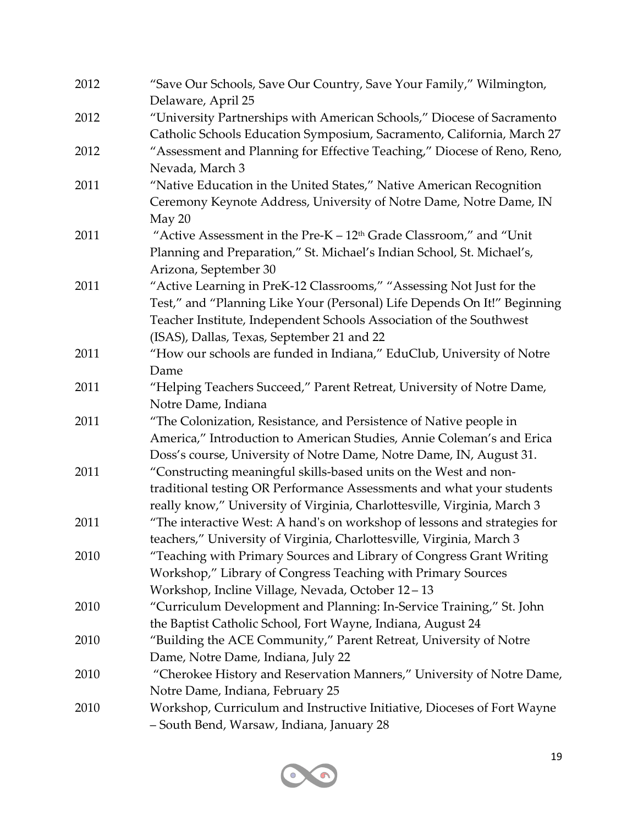| 2012 | "Save Our Schools, Save Our Country, Save Your Family," Wilmington,       |
|------|---------------------------------------------------------------------------|
|      | Delaware, April 25                                                        |
| 2012 | "University Partnerships with American Schools," Diocese of Sacramento    |
|      | Catholic Schools Education Symposium, Sacramento, California, March 27    |
| 2012 | "Assessment and Planning for Effective Teaching," Diocese of Reno, Reno,  |
|      | Nevada, March 3                                                           |
| 2011 | "Native Education in the United States," Native American Recognition      |
|      | Ceremony Keynote Address, University of Notre Dame, Notre Dame, IN        |
|      | May 20                                                                    |
| 2011 | "Active Assessment in the Pre- $K - 12th$ Grade Classroom," and "Unit"    |
|      | Planning and Preparation," St. Michael's Indian School, St. Michael's,    |
|      | Arizona, September 30                                                     |
| 2011 | "Active Learning in PreK-12 Classrooms," "Assessing Not Just for the      |
|      | Test," and "Planning Like Your (Personal) Life Depends On It!" Beginning  |
|      | Teacher Institute, Independent Schools Association of the Southwest       |
|      | (ISAS), Dallas, Texas, September 21 and 22                                |
| 2011 | "How our schools are funded in Indiana," EduClub, University of Notre     |
|      | Dame                                                                      |
| 2011 | "Helping Teachers Succeed," Parent Retreat, University of Notre Dame,     |
|      | Notre Dame, Indiana                                                       |
| 2011 | "The Colonization, Resistance, and Persistence of Native people in        |
|      | America," Introduction to American Studies, Annie Coleman's and Erica     |
|      | Doss's course, University of Notre Dame, Notre Dame, IN, August 31.       |
| 2011 | "Constructing meaningful skills-based units on the West and non-          |
|      | traditional testing OR Performance Assessments and what your students     |
|      | really know," University of Virginia, Charlottesville, Virginia, March 3  |
| 2011 | "The interactive West: A hand's on workshop of lessons and strategies for |
|      | teachers," University of Virginia, Charlottesville, Virginia, March 3     |
| 2010 | "Teaching with Primary Sources and Library of Congress Grant Writing      |
|      | Workshop," Library of Congress Teaching with Primary Sources              |
|      | Workshop, Incline Village, Nevada, October 12-13                          |
| 2010 | "Curriculum Development and Planning: In-Service Training," St. John      |
|      | the Baptist Catholic School, Fort Wayne, Indiana, August 24               |
| 2010 | "Building the ACE Community," Parent Retreat, University of Notre         |
|      | Dame, Notre Dame, Indiana, July 22                                        |
| 2010 | "Cherokee History and Reservation Manners," University of Notre Dame,     |
|      | Notre Dame, Indiana, February 25                                          |
| 2010 | Workshop, Curriculum and Instructive Initiative, Dioceses of Fort Wayne   |
|      | - South Bend, Warsaw, Indiana, January 28                                 |
|      |                                                                           |

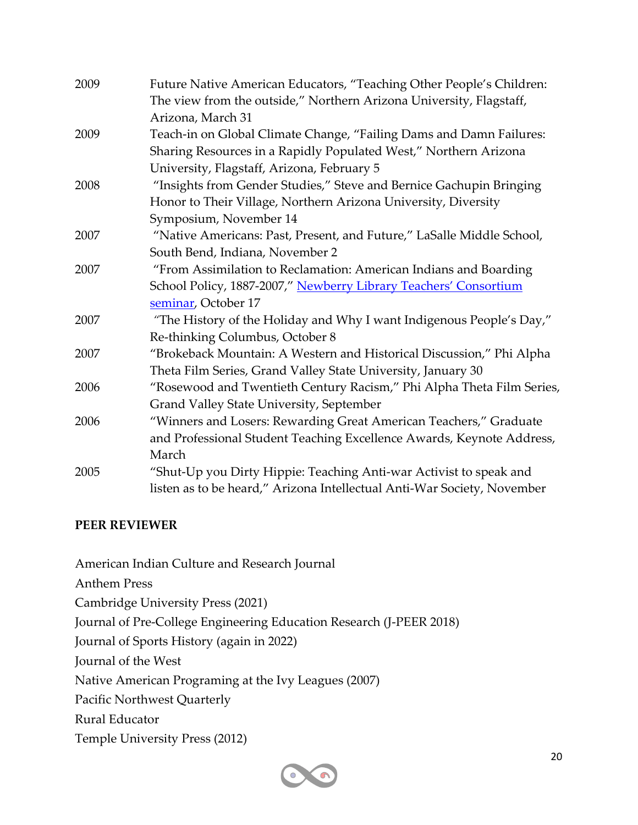| 2009 | Future Native American Educators, "Teaching Other People's Children:    |
|------|-------------------------------------------------------------------------|
|      | The view from the outside," Northern Arizona University, Flagstaff,     |
|      | Arizona, March 31                                                       |
| 2009 | Teach-in on Global Climate Change, "Failing Dams and Damn Failures:     |
|      | Sharing Resources in a Rapidly Populated West," Northern Arizona        |
|      | University, Flagstaff, Arizona, February 5                              |
| 2008 | "Insights from Gender Studies," Steve and Bernice Gachupin Bringing     |
|      | Honor to Their Village, Northern Arizona University, Diversity          |
|      | Symposium, November 14                                                  |
| 2007 | "Native Americans: Past, Present, and Future," LaSalle Middle School,   |
|      | South Bend, Indiana, November 2                                         |
| 2007 | "From Assimilation to Reclamation: American Indians and Boarding        |
|      | School Policy, 1887-2007," Newberry Library Teachers' Consortium        |
|      | seminar, October 17                                                     |
| 2007 | "The History of the Holiday and Why I want Indigenous People's Day,"    |
|      | Re-thinking Columbus, October 8                                         |
| 2007 | "Brokeback Mountain: A Western and Historical Discussion," Phi Alpha    |
|      | Theta Film Series, Grand Valley State University, January 30            |
| 2006 | "Rosewood and Twentieth Century Racism," Phi Alpha Theta Film Series,   |
|      | Grand Valley State University, September                                |
| 2006 | "Winners and Losers: Rewarding Great American Teachers," Graduate       |
|      | and Professional Student Teaching Excellence Awards, Keynote Address,   |
|      | March                                                                   |
| 2005 | "Shut-Up you Dirty Hippie: Teaching Anti-war Activist to speak and      |
|      | listen as to be heard," Arizona Intellectual Anti-War Society, November |

#### **PEER REVIEWER**

American Indian Culture and Research Journal Anthem Press Cambridge University Press (2021) Journal of Pre-College Engineering Education Research (J-PEER 2018) Journal of Sports History (again in 2022) Journal of the West Native American Programing at the Ivy Leagues (2007) Pacific Northwest Quarterly Rural Educator Temple University Press (2012)

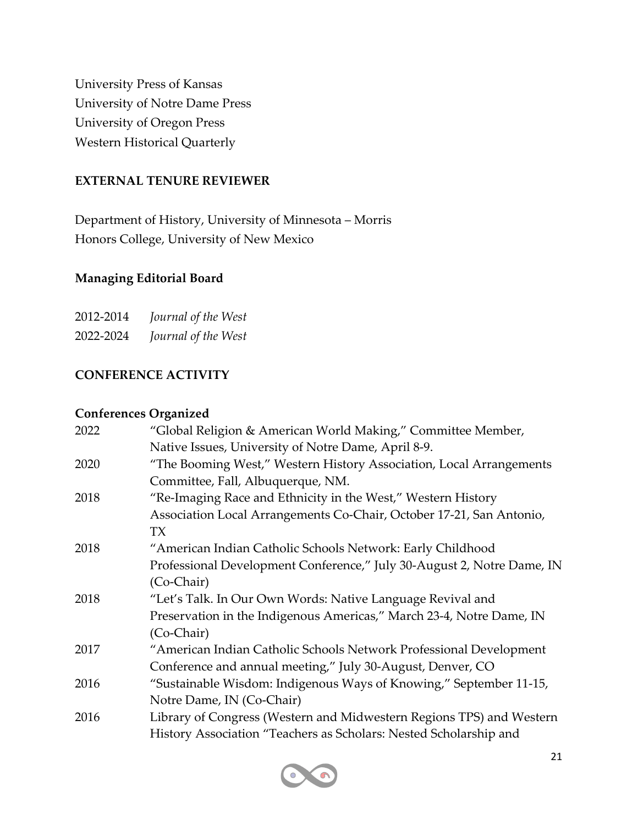University Press of Kansas University of Notre Dame Press University of Oregon Press Western Historical Quarterly

#### **EXTERNAL TENURE REVIEWER**

Department of History, University of Minnesota – Morris Honors College, University of New Mexico

#### **Managing Editorial Board**

| 2012-2014 | Journal of the West |
|-----------|---------------------|
| 2022-2024 | Journal of the West |

#### **CONFERENCE ACTIVITY**

#### **Conferences Organized**

| 2022 | "Global Religion & American World Making," Committee Member,           |
|------|------------------------------------------------------------------------|
|      | Native Issues, University of Notre Dame, April 8-9.                    |
| 2020 | "The Booming West," Western History Association, Local Arrangements    |
|      | Committee, Fall, Albuquerque, NM.                                      |
| 2018 | "Re-Imaging Race and Ethnicity in the West," Western History           |
|      | Association Local Arrangements Co-Chair, October 17-21, San Antonio,   |
|      | TX                                                                     |
| 2018 | "American Indian Catholic Schools Network: Early Childhood             |
|      | Professional Development Conference," July 30-August 2, Notre Dame, IN |
|      | (Co-Chair)                                                             |
| 2018 | "Let's Talk. In Our Own Words: Native Language Revival and             |
|      | Preservation in the Indigenous Americas," March 23-4, Notre Dame, IN   |
|      | (Co-Chair)                                                             |
| 2017 | "American Indian Catholic Schools Network Professional Development     |
|      | Conference and annual meeting," July 30-August, Denver, CO             |
| 2016 | "Sustainable Wisdom: Indigenous Ways of Knowing," September 11-15,     |
|      | Notre Dame, IN (Co-Chair)                                              |
| 2016 | Library of Congress (Western and Midwestern Regions TPS) and Western   |
|      | History Association "Teachers as Scholars: Nested Scholarship and      |

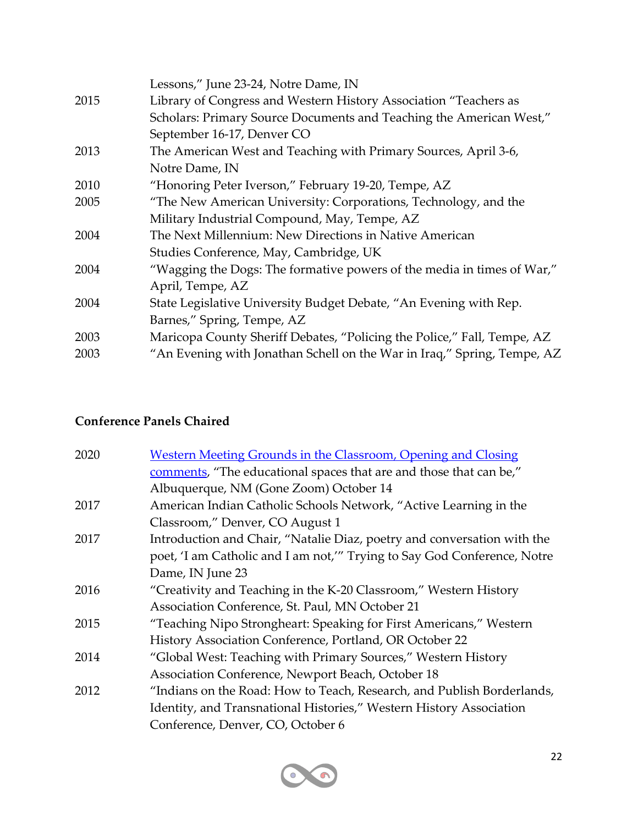|      | Lessons," June 23-24, Notre Dame, IN                                    |
|------|-------------------------------------------------------------------------|
| 2015 | Library of Congress and Western History Association "Teachers as        |
|      | Scholars: Primary Source Documents and Teaching the American West,"     |
|      | September 16-17, Denver CO                                              |
| 2013 | The American West and Teaching with Primary Sources, April 3-6,         |
|      | Notre Dame, IN                                                          |
| 2010 | "Honoring Peter Iverson," February 19-20, Tempe, AZ                     |
| 2005 | "The New American University: Corporations, Technology, and the         |
|      | Military Industrial Compound, May, Tempe, AZ                            |
| 2004 | The Next Millennium: New Directions in Native American                  |
|      | Studies Conference, May, Cambridge, UK                                  |
| 2004 | "Wagging the Dogs: The formative powers of the media in times of War,"  |
|      | April, Tempe, AZ                                                        |
| 2004 | State Legislative University Budget Debate, "An Evening with Rep.       |
|      | Barnes," Spring, Tempe, AZ                                              |
| 2003 | Maricopa County Sheriff Debates, "Policing the Police," Fall, Tempe, AZ |
| 2003 | "An Evening with Jonathan Schell on the War in Iraq," Spring, Tempe, AZ |
|      |                                                                         |

# **Conference Panels Chaired**

| 2020 | <b>Western Meeting Grounds in the Classroom, Opening and Closing</b>     |
|------|--------------------------------------------------------------------------|
|      | comments, "The educational spaces that are and those that can be,"       |
|      | Albuquerque, NM (Gone Zoom) October 14                                   |
| 2017 | American Indian Catholic Schools Network, "Active Learning in the        |
|      | Classroom," Denver, CO August 1                                          |
| 2017 | Introduction and Chair, "Natalie Diaz, poetry and conversation with the  |
|      | poet, 'I am Catholic and I am not,'" Trying to Say God Conference, Notre |
|      | Dame, IN June 23                                                         |
| 2016 | "Creativity and Teaching in the K-20 Classroom," Western History         |
|      | Association Conference, St. Paul, MN October 21                          |
| 2015 | "Teaching Nipo Strongheart: Speaking for First Americans," Western       |
|      | History Association Conference, Portland, OR October 22                  |
| 2014 | "Global West: Teaching with Primary Sources," Western History            |
|      | Association Conference, Newport Beach, October 18                        |
| 2012 | "Indians on the Road: How to Teach, Research, and Publish Borderlands,   |
|      | Identity, and Transnational Histories," Western History Association      |
|      | Conference, Denver, CO, October 6                                        |
|      |                                                                          |

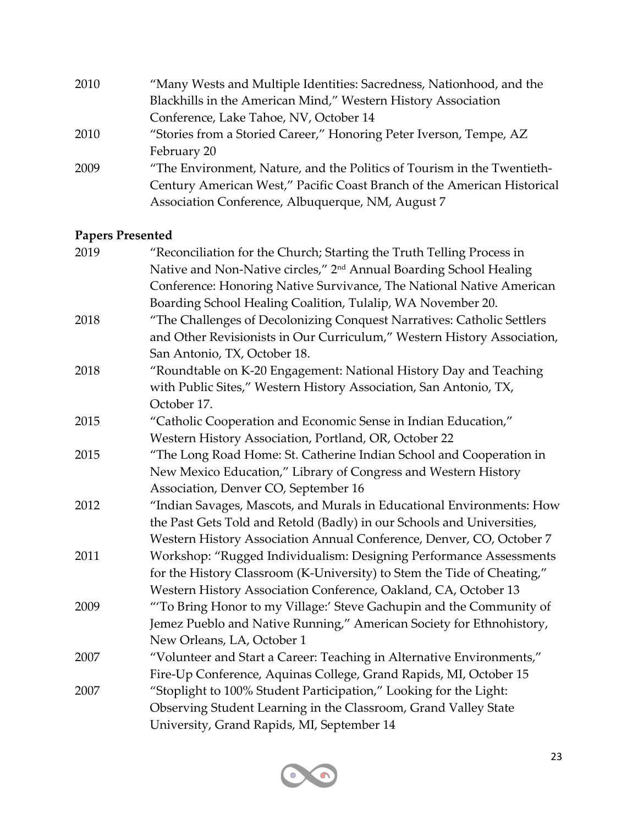| 2010 | "Many Wests and Multiple Identities: Sacredness, Nationhood, and the    |
|------|-------------------------------------------------------------------------|
|      | Blackhills in the American Mind," Western History Association           |
|      | Conference, Lake Tahoe, NV, October 14                                  |
| 2010 | "Stories from a Storied Career," Honoring Peter Iverson, Tempe, AZ      |
|      | February 20                                                             |
| 2009 | "The Environment, Nature, and the Politics of Tourism in the Twentieth- |
|      | Century American West," Pacific Coast Branch of the American Historical |
|      | Association Conference, Albuquerque, NM, August 7                       |
|      |                                                                         |

# **Papers Presented**

| 2019 | "Reconciliation for the Church; Starting the Truth Telling Process in          |
|------|--------------------------------------------------------------------------------|
|      | Native and Non-Native circles," 2 <sup>nd</sup> Annual Boarding School Healing |
|      | Conference: Honoring Native Survivance, The National Native American           |
|      | Boarding School Healing Coalition, Tulalip, WA November 20.                    |
| 2018 | "The Challenges of Decolonizing Conquest Narratives: Catholic Settlers         |
|      | and Other Revisionists in Our Curriculum," Western History Association,        |
|      | San Antonio, TX, October 18.                                                   |
| 2018 | "Roundtable on K-20 Engagement: National History Day and Teaching              |
|      | with Public Sites," Western History Association, San Antonio, TX,              |
|      | October 17.                                                                    |
| 2015 | "Catholic Cooperation and Economic Sense in Indian Education,"                 |
|      | Western History Association, Portland, OR, October 22                          |
| 2015 | "The Long Road Home: St. Catherine Indian School and Cooperation in            |
|      | New Mexico Education," Library of Congress and Western History                 |
|      | Association, Denver CO, September 16                                           |
| 2012 | "Indian Savages, Mascots, and Murals in Educational Environments: How          |
|      | the Past Gets Told and Retold (Badly) in our Schools and Universities,         |
|      | Western History Association Annual Conference, Denver, CO, October 7           |
| 2011 | Workshop: "Rugged Individualism: Designing Performance Assessments             |
|      | for the History Classroom (K-University) to Stem the Tide of Cheating,"        |
|      | Western History Association Conference, Oakland, CA, October 13                |
| 2009 | "To Bring Honor to my Village:' Steve Gachupin and the Community of            |
|      | Jemez Pueblo and Native Running," American Society for Ethnohistory,           |
|      | New Orleans, LA, October 1                                                     |
| 2007 | "Volunteer and Start a Career: Teaching in Alternative Environments,"          |
|      | Fire-Up Conference, Aquinas College, Grand Rapids, MI, October 15              |
| 2007 | "Stoplight to 100% Student Participation," Looking for the Light:              |
|      | Observing Student Learning in the Classroom, Grand Valley State                |
|      | University, Grand Rapids, MI, September 14                                     |
|      |                                                                                |

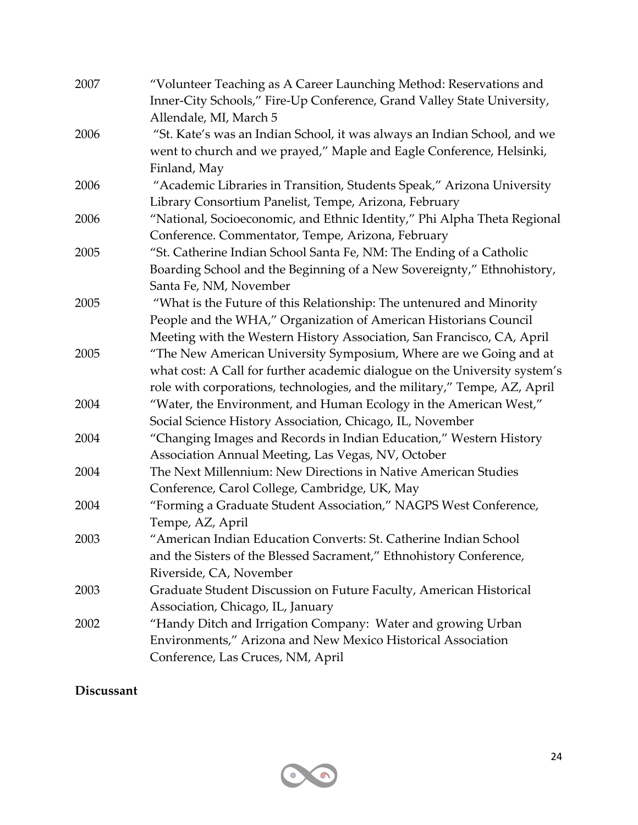| 2007 | "Volunteer Teaching as A Career Launching Method: Reservations and                                |
|------|---------------------------------------------------------------------------------------------------|
|      | Inner-City Schools," Fire-Up Conference, Grand Valley State University,<br>Allendale, MI, March 5 |
| 2006 | "St. Kate's was an Indian School, it was always an Indian School, and we                          |
|      | went to church and we prayed," Maple and Eagle Conference, Helsinki,                              |
|      | Finland, May                                                                                      |
| 2006 | "Academic Libraries in Transition, Students Speak," Arizona University                            |
|      | Library Consortium Panelist, Tempe, Arizona, February                                             |
| 2006 | "National, Socioeconomic, and Ethnic Identity," Phi Alpha Theta Regional                          |
|      | Conference. Commentator, Tempe, Arizona, February                                                 |
| 2005 | "St. Catherine Indian School Santa Fe, NM: The Ending of a Catholic                               |
|      | Boarding School and the Beginning of a New Sovereignty," Ethnohistory,                            |
|      | Santa Fe, NM, November                                                                            |
| 2005 | "What is the Future of this Relationship: The untenured and Minority                              |
|      | People and the WHA," Organization of American Historians Council                                  |
|      | Meeting with the Western History Association, San Francisco, CA, April                            |
| 2005 | "The New American University Symposium, Where are we Going and at                                 |
|      | what cost: A Call for further academic dialogue on the University system's                        |
|      | role with corporations, technologies, and the military," Tempe, AZ, April                         |
| 2004 | "Water, the Environment, and Human Ecology in the American West,"                                 |
|      | Social Science History Association, Chicago, IL, November                                         |
| 2004 | "Changing Images and Records in Indian Education," Western History                                |
|      | Association Annual Meeting, Las Vegas, NV, October                                                |
| 2004 | The Next Millennium: New Directions in Native American Studies                                    |
|      | Conference, Carol College, Cambridge, UK, May                                                     |
| 2004 | "Forming a Graduate Student Association," NAGPS West Conference,                                  |
|      | Tempe, AZ, April                                                                                  |
| 2003 | "American Indian Education Converts: St. Catherine Indian School                                  |
|      | and the Sisters of the Blessed Sacrament," Ethnohistory Conference,                               |
|      | Riverside, CA, November                                                                           |
| 2003 | Graduate Student Discussion on Future Faculty, American Historical                                |
|      | Association, Chicago, IL, January                                                                 |
| 2002 | "Handy Ditch and Irrigation Company: Water and growing Urban                                      |
|      | Environments," Arizona and New Mexico Historical Association                                      |
|      | Conference, Las Cruces, NM, April                                                                 |

# **Discussant**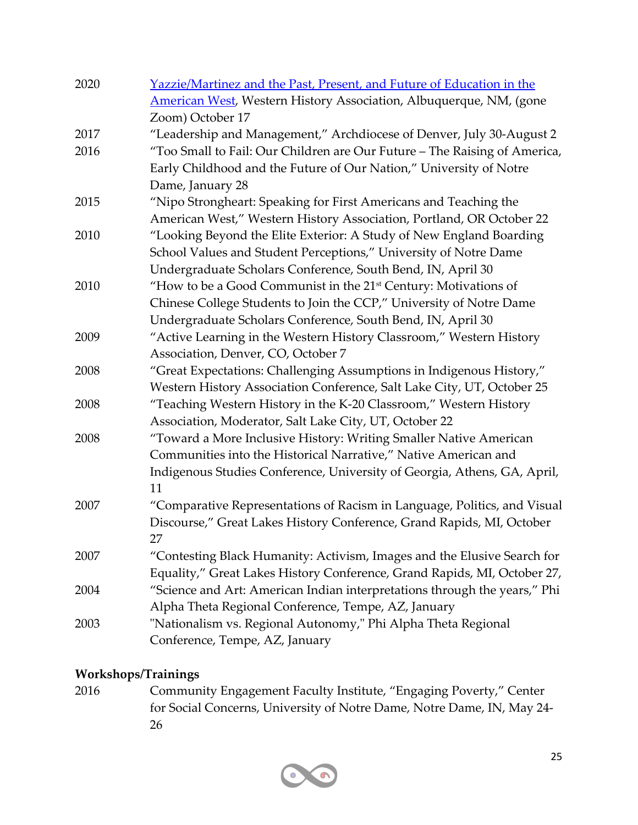| 2020 | Yazzie/Martinez and the Past, Present, and Future of Education in the       |
|------|-----------------------------------------------------------------------------|
|      | American West, Western History Association, Albuquerque, NM, (gone          |
|      | Zoom) October 17                                                            |
| 2017 | "Leadership and Management," Archdiocese of Denver, July 30-August 2        |
| 2016 | "Too Small to Fail: Our Children are Our Future - The Raising of America,   |
|      | Early Childhood and the Future of Our Nation," University of Notre          |
|      | Dame, January 28                                                            |
| 2015 | "Nipo Strongheart: Speaking for First Americans and Teaching the            |
|      | American West," Western History Association, Portland, OR October 22        |
| 2010 | "Looking Beyond the Elite Exterior: A Study of New England Boarding         |
|      | School Values and Student Perceptions," University of Notre Dame            |
|      | Undergraduate Scholars Conference, South Bend, IN, April 30                 |
| 2010 | "How to be a Good Communist in the 21 <sup>st</sup> Century: Motivations of |
|      | Chinese College Students to Join the CCP," University of Notre Dame         |
|      | Undergraduate Scholars Conference, South Bend, IN, April 30                 |
| 2009 | "Active Learning in the Western History Classroom," Western History         |
|      | Association, Denver, CO, October 7                                          |
| 2008 | "Great Expectations: Challenging Assumptions in Indigenous History,"        |
|      | Western History Association Conference, Salt Lake City, UT, October 25      |
| 2008 | "Teaching Western History in the K-20 Classroom," Western History           |
|      | Association, Moderator, Salt Lake City, UT, October 22                      |
| 2008 | "Toward a More Inclusive History: Writing Smaller Native American           |
|      | Communities into the Historical Narrative," Native American and             |
|      | Indigenous Studies Conference, University of Georgia, Athens, GA, April,    |
|      | 11                                                                          |
| 2007 | "Comparative Representations of Racism in Language, Politics, and Visual    |
|      | Discourse," Great Lakes History Conference, Grand Rapids, MI, October       |
|      | 27                                                                          |
| 2007 | "Contesting Black Humanity: Activism, Images and the Elusive Search for     |
|      | Equality," Great Lakes History Conference, Grand Rapids, MI, October 27,    |
| 2004 | "Science and Art: American Indian interpretations through the years," Phi   |
|      | Alpha Theta Regional Conference, Tempe, AZ, January                         |
| 2003 | "Nationalism vs. Regional Autonomy," Phi Alpha Theta Regional               |
|      | Conference, Tempe, AZ, January                                              |

## **Workshops/Trainings**

2016 Community Engagement Faculty Institute, "Engaging Poverty," Center for Social Concerns, University of Notre Dame, Notre Dame, IN, May 24- 26

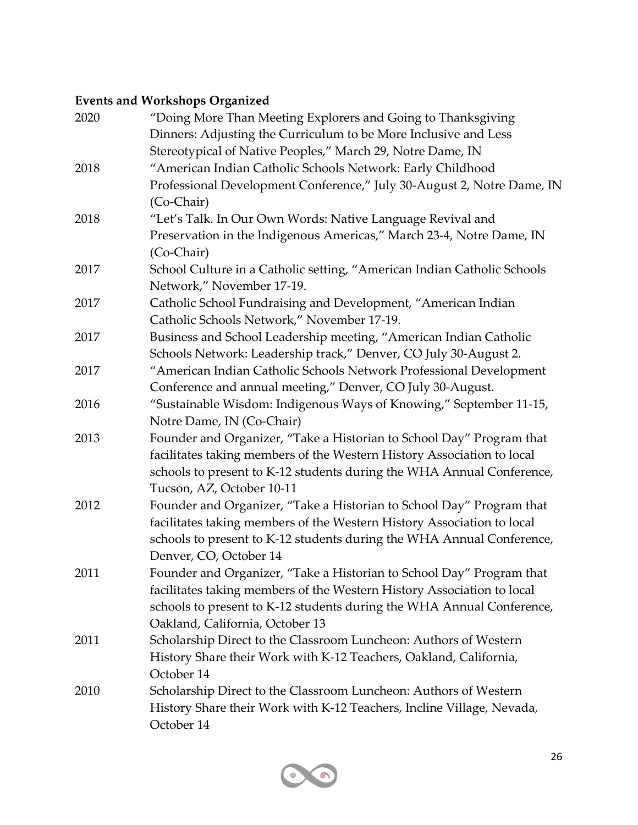# **Events and Workshops Organized**

| 2020 | "Doing More Than Meeting Explorers and Going to Thanksgiving<br>Dinners: Adjusting the Curriculum to be More Inclusive and Less |
|------|---------------------------------------------------------------------------------------------------------------------------------|
|      | Stereotypical of Native Peoples," March 29, Notre Dame, IN                                                                      |
| 2018 | "American Indian Catholic Schools Network: Early Childhood                                                                      |
|      | Professional Development Conference," July 30-August 2, Notre Dame, IN                                                          |
|      | (Co-Chair)                                                                                                                      |
| 2018 | "Let's Talk. In Our Own Words: Native Language Revival and                                                                      |
|      | Preservation in the Indigenous Americas," March 23-4, Notre Dame, IN                                                            |
|      | (Co-Chair)                                                                                                                      |
| 2017 | School Culture in a Catholic setting, "American Indian Catholic Schools                                                         |
|      | Network," November 17-19.                                                                                                       |
| 2017 | Catholic School Fundraising and Development, "American Indian                                                                   |
|      | Catholic Schools Network," November 17-19.                                                                                      |
| 2017 | Business and School Leadership meeting, "American Indian Catholic                                                               |
|      | Schools Network: Leadership track," Denver, CO July 30-August 2.                                                                |
| 2017 | "American Indian Catholic Schools Network Professional Development                                                              |
|      | Conference and annual meeting," Denver, CO July 30-August.                                                                      |
| 2016 | "Sustainable Wisdom: Indigenous Ways of Knowing," September 11-15,                                                              |
|      | Notre Dame, IN (Co-Chair)                                                                                                       |
| 2013 | Founder and Organizer, "Take a Historian to School Day" Program that                                                            |
|      | facilitates taking members of the Western History Association to local                                                          |
|      | schools to present to K-12 students during the WHA Annual Conference,                                                           |
|      | Tucson, AZ, October 10-11                                                                                                       |
| 2012 | Founder and Organizer, "Take a Historian to School Day" Program that                                                            |
|      | facilitates taking members of the Western History Association to local                                                          |
|      | schools to present to K-12 students during the WHA Annual Conference,                                                           |
|      | Denver, CO, October 14                                                                                                          |
| 2011 | Founder and Organizer, "Take a Historian to School Day" Program that                                                            |
|      | facilitates taking members of the Western History Association to local                                                          |
|      | schools to present to K-12 students during the WHA Annual Conference,                                                           |
|      | Oakland, California, October 13                                                                                                 |
| 2011 | Scholarship Direct to the Classroom Luncheon: Authors of Western                                                                |
|      | History Share their Work with K-12 Teachers, Oakland, California,                                                               |
|      | October 14                                                                                                                      |
| 2010 | Scholarship Direct to the Classroom Luncheon: Authors of Western                                                                |
|      | History Share their Work with K-12 Teachers, Incline Village, Nevada,                                                           |
|      | October 14                                                                                                                      |

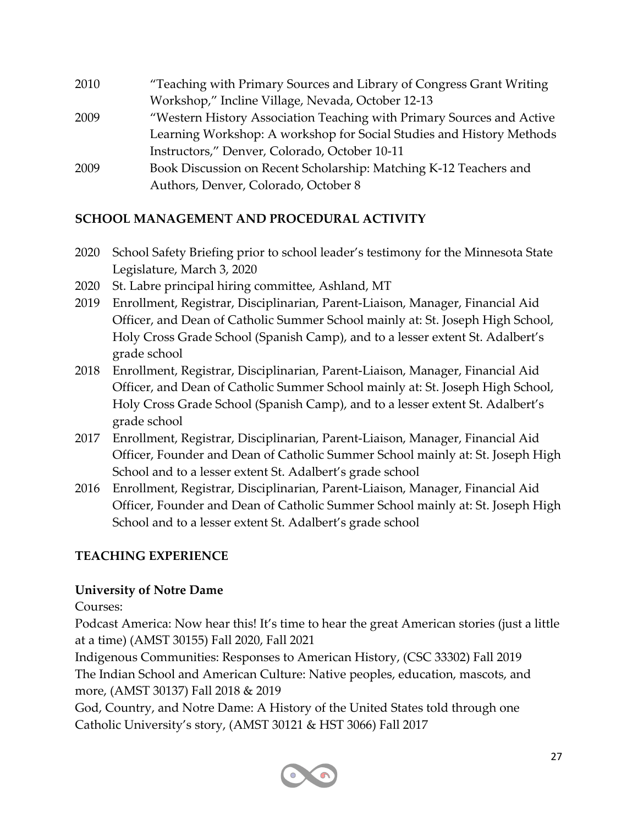| 2010 | "Teaching with Primary Sources and Library of Congress Grant Writing  |
|------|-----------------------------------------------------------------------|
|      | Workshop," Incline Village, Nevada, October 12-13                     |
| 2009 | "Western History Association Teaching with Primary Sources and Active |
|      | Learning Workshop: A workshop for Social Studies and History Methods  |
|      | Instructors," Denver, Colorado, October 10-11                         |
| 2009 | Book Discussion on Recent Scholarship: Matching K-12 Teachers and     |
|      | Authors, Denver, Colorado, October 8                                  |

#### **SCHOOL MANAGEMENT AND PROCEDURAL ACTIVITY**

- 2020 School Safety Briefing prior to school leader's testimony for the Minnesota State Legislature, March 3, 2020
- 2020 St. Labre principal hiring committee, Ashland, MT
- 2019 Enrollment, Registrar, Disciplinarian, Parent-Liaison, Manager, Financial Aid Officer, and Dean of Catholic Summer School mainly at: St. Joseph High School, Holy Cross Grade School (Spanish Camp), and to a lesser extent St. Adalbert's grade school
- 2018 Enrollment, Registrar, Disciplinarian, Parent-Liaison, Manager, Financial Aid Officer, and Dean of Catholic Summer School mainly at: St. Joseph High School, Holy Cross Grade School (Spanish Camp), and to a lesser extent St. Adalbert's grade school
- 2017 Enrollment, Registrar, Disciplinarian, Parent-Liaison, Manager, Financial Aid Officer, Founder and Dean of Catholic Summer School mainly at: St. Joseph High School and to a lesser extent St. Adalbert's grade school
- 2016 Enrollment, Registrar, Disciplinarian, Parent-Liaison, Manager, Financial Aid Officer, Founder and Dean of Catholic Summer School mainly at: St. Joseph High School and to a lesser extent St. Adalbert's grade school

# **TEACHING EXPERIENCE**

#### **University of Notre Dame**

Courses:

Podcast America: Now hear this! It's time to hear the great American stories (just a little at a time) (AMST 30155) Fall 2020, Fall 2021

Indigenous Communities: Responses to American History, (CSC 33302) Fall 2019 The Indian School and American Culture: Native peoples, education, mascots, and more, (AMST 30137) Fall 2018 & 2019

God, Country, and Notre Dame: A History of the United States told through one Catholic University's story, (AMST 30121 & HST 3066) Fall 2017

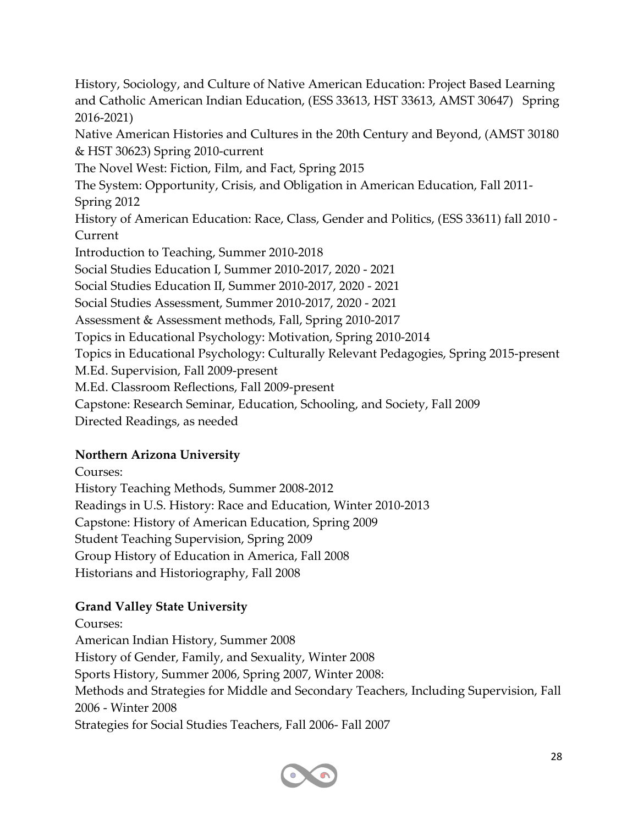History, Sociology, and Culture of Native American Education: Project Based Learning and Catholic American Indian Education, (ESS 33613, HST 33613, AMST 30647) Spring 2016-2021)

Native American Histories and Cultures in the 20th Century and Beyond, (AMST 30180 & HST 30623) Spring 2010-current

The Novel West: Fiction, Film, and Fact, Spring 2015

The System: Opportunity, Crisis, and Obligation in American Education, Fall 2011- Spring 2012

History of American Education: Race, Class, Gender and Politics, (ESS 33611) fall 2010 - Current

Introduction to Teaching, Summer 2010-2018

Social Studies Education I, Summer 2010-2017, 2020 - 2021

Social Studies Education II, Summer 2010-2017, 2020 - 2021

Social Studies Assessment, Summer 2010-2017, 2020 - 2021

Assessment & Assessment methods, Fall, Spring 2010-2017

Topics in Educational Psychology: Motivation, Spring 2010-2014

Topics in Educational Psychology: Culturally Relevant Pedagogies, Spring 2015-present

M.Ed. Supervision, Fall 2009-present

- M.Ed. Classroom Reflections, Fall 2009-present
- Capstone: Research Seminar, Education, Schooling, and Society, Fall 2009

Directed Readings, as needed

#### **Northern Arizona University**

Courses:

History Teaching Methods, Summer 2008-2012 Readings in U.S. History: Race and Education, Winter 2010-2013 Capstone: History of American Education, Spring 2009 Student Teaching Supervision, Spring 2009 Group History of Education in America, Fall 2008 Historians and Historiography, Fall 2008

# **Grand Valley State University**

Courses: American Indian History, Summer 2008 History of Gender, Family, and Sexuality, Winter 2008 Sports History, Summer 2006, Spring 2007, Winter 2008: Methods and Strategies for Middle and Secondary Teachers, Including Supervision, Fall 2006 - Winter 2008 Strategies for Social Studies Teachers, Fall 2006- Fall 2007

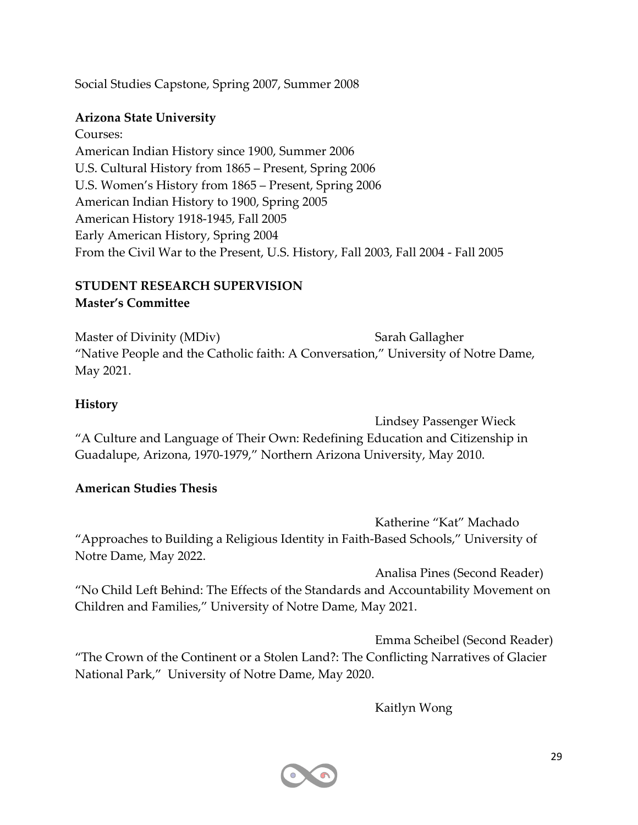Social Studies Capstone, Spring 2007, Summer 2008

#### **Arizona State University**

Courses: American Indian History since 1900, Summer 2006 U.S. Cultural History from 1865 – Present, Spring 2006 U.S. Women's History from 1865 – Present, Spring 2006 American Indian History to 1900, Spring 2005 American History 1918-1945, Fall 2005 Early American History, Spring 2004 From the Civil War to the Present, U.S. History, Fall 2003, Fall 2004 - Fall 2005

#### **STUDENT RESEARCH SUPERVISION Master's Committee**

Master of Divinity (MDiv) Sarah Gallagher "Native People and the Catholic faith: A Conversation," University of Notre Dame, May 2021.

#### **History**

Lindsey Passenger Wieck "A Culture and Language of Their Own: Redefining Education and Citizenship in Guadalupe, Arizona, 1970-1979," Northern Arizona University, May 2010.

#### **American Studies Thesis**

Katherine "Kat" Machado "Approaches to Building a Religious Identity in Faith-Based Schools," University of Notre Dame, May 2022.

Analisa Pines (Second Reader) "No Child Left Behind: The Effects of the Standards and Accountability Movement on Children and Families," University of Notre Dame, May 2021.

Emma Scheibel (Second Reader) "The Crown of the Continent or a Stolen Land?: The Conflicting Narratives of Glacier National Park," University of Notre Dame, May 2020.

Kaitlyn Wong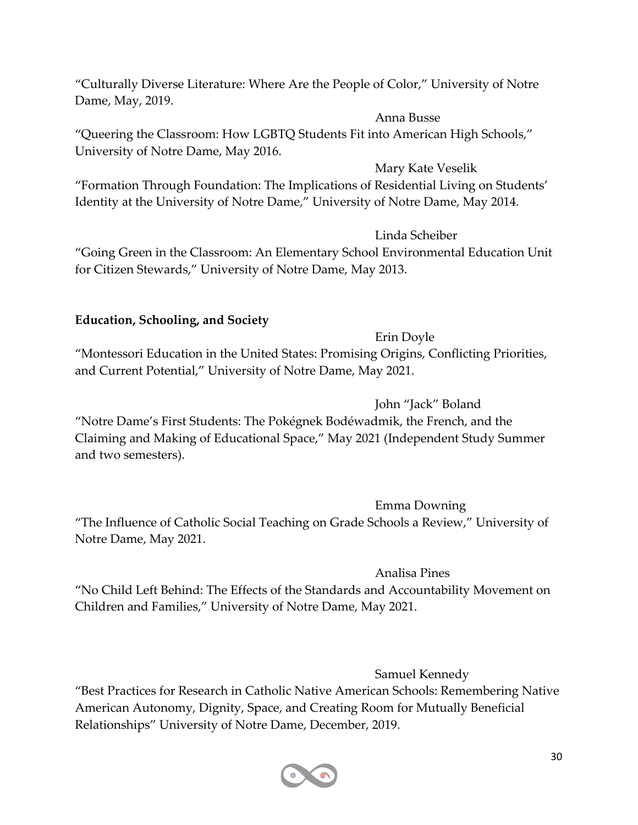"Culturally Diverse Literature: Where Are the People of Color," University of Notre Dame, May, 2019.

Anna Busse

"Queering the Classroom: How LGBTQ Students Fit into American High Schools," University of Notre Dame, May 2016.

Mary Kate Veselik

"Formation Through Foundation: The Implications of Residential Living on Students' Identity at the University of Notre Dame," University of Notre Dame, May 2014.

Linda Scheiber

"Going Green in the Classroom: An Elementary School Environmental Education Unit for Citizen Stewards," University of Notre Dame, May 2013.

#### **Education, Schooling, and Society**

Erin Doyle

"Montessori Education in the United States: Promising Origins, Conflicting Priorities, and Current Potential," University of Notre Dame, May 2021.

John "Jack" Boland

"Notre Dame's First Students: The Pokégnek Bodéwadmik, the French, and the Claiming and Making of Educational Space," May 2021 (Independent Study Summer and two semesters).

Emma Downing

"The Influence of Catholic Social Teaching on Grade Schools a Review," University of Notre Dame, May 2021.

Analisa Pines

"No Child Left Behind: The Effects of the Standards and Accountability Movement on Children and Families," University of Notre Dame, May 2021.

Samuel Kennedy

"Best Practices for Research in Catholic Native American Schools: Remembering Native American Autonomy, Dignity, Space, and Creating Room for Mutually Beneficial Relationships" University of Notre Dame, December, 2019.

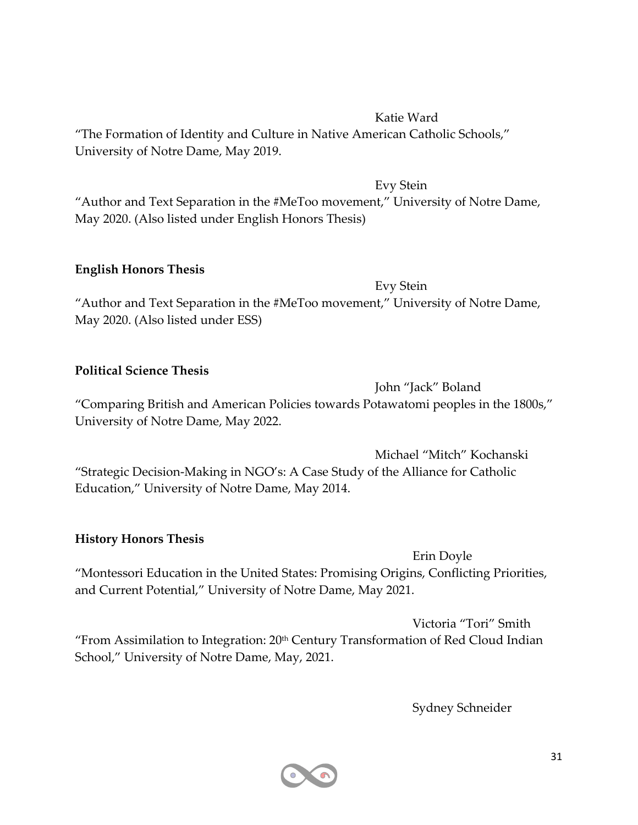#### Katie Ward

"The Formation of Identity and Culture in Native American Catholic Schools," University of Notre Dame, May 2019.

Evy Stein

"Author and Text Separation in the #MeToo movement," University of Notre Dame, May 2020. (Also listed under English Honors Thesis)

#### **English Honors Thesis**

Evy Stein "Author and Text Separation in the #MeToo movement," University of Notre Dame, May 2020. (Also listed under ESS)

#### **Political Science Thesis**

John "Jack" Boland "Comparing British and American Policies towards Potawatomi peoples in the 1800s," University of Notre Dame, May 2022.

Michael "Mitch" Kochanski "Strategic Decision-Making in NGO's: A Case Study of the Alliance for Catholic Education," University of Notre Dame, May 2014.

#### **History Honors Thesis**

Erin Doyle "Montessori Education in the United States: Promising Origins, Conflicting Priorities, and Current Potential," University of Notre Dame, May 2021.

Victoria "Tori" Smith "From Assimilation to Integration:  $20<sup>th</sup>$  Century Transformation of Red Cloud Indian School," University of Notre Dame, May, 2021.

Sydney Schneider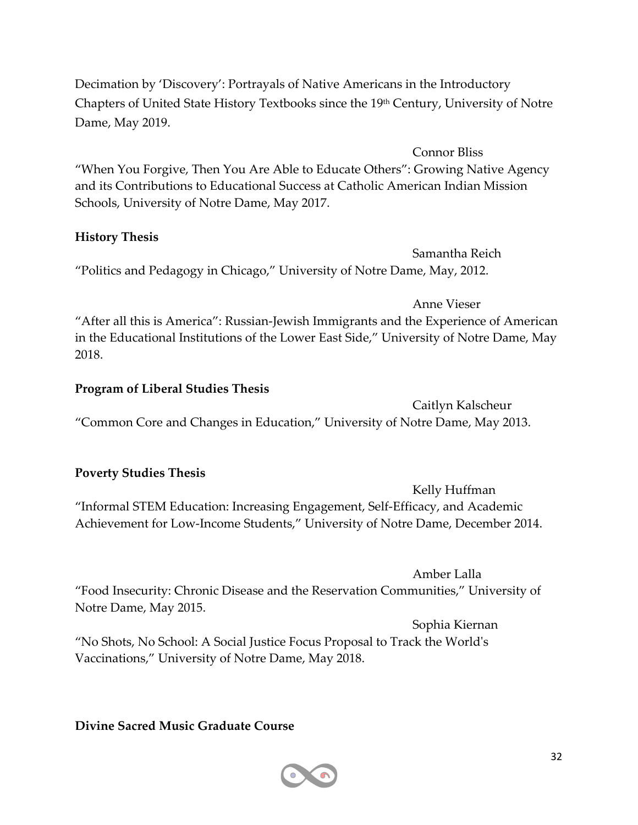Decimation by 'Discovery': Portrayals of Native Americans in the Introductory Chapters of United State History Textbooks since the 19th Century, University of Notre Dame, May 2019.

Connor Bliss "When You Forgive, Then You Are Able to Educate Others": Growing Native Agency and its Contributions to Educational Success at Catholic American Indian Mission Schools, University of Notre Dame, May 2017.

#### **History Thesis**

Samantha Reich "Politics and Pedagogy in Chicago," University of Notre Dame, May, 2012.

Anne Vieser "After all this is America": Russian-Jewish Immigrants and the Experience of American in the Educational Institutions of the Lower East Side," University of Notre Dame, May 2018.

#### **Program of Liberal Studies Thesis**

Caitlyn Kalscheur "Common Core and Changes in Education," University of Notre Dame, May 2013.

#### **Poverty Studies Thesis**

Kelly Huffman "Informal STEM Education: Increasing Engagement, Self-Efficacy, and Academic Achievement for Low-Income Students," University of Notre Dame, December 2014.

Amber Lalla

"Food Insecurity: Chronic Disease and the Reservation Communities," University of Notre Dame, May 2015.

Sophia Kiernan "No Shots, No School: A Social Justice Focus Proposal to Track the World's Vaccinations," University of Notre Dame, May 2018.

#### **Divine Sacred Music Graduate Course**

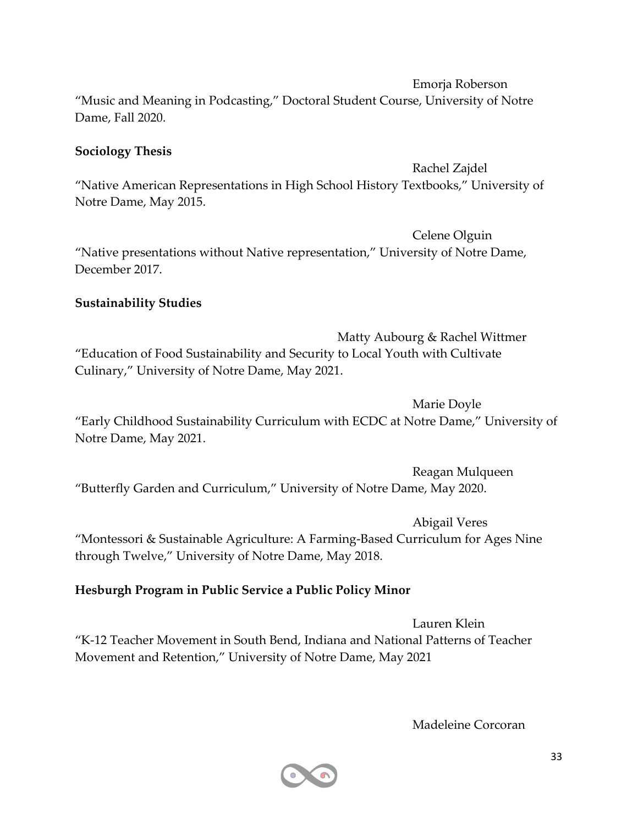Emorja Roberson

"Music and Meaning in Podcasting," Doctoral Student Course, University of Notre Dame, Fall 2020.

#### **Sociology Thesis**

Rachel Zajdel

"Native American Representations in High School History Textbooks," University of Notre Dame, May 2015.

Celene Olguin "Native presentations without Native representation," University of Notre Dame, December 2017.

#### **Sustainability Studies**

Matty Aubourg & Rachel Wittmer "Education of Food Sustainability and Security to Local Youth with Cultivate Culinary," University of Notre Dame, May 2021.

Marie Doyle "Early Childhood Sustainability Curriculum with ECDC at Notre Dame," University of Notre Dame, May 2021.

Reagan Mulqueen "Butterfly Garden and Curriculum," University of Notre Dame, May 2020.

Abigail Veres "Montessori & Sustainable Agriculture: A Farming-Based Curriculum for Ages Nine through Twelve," University of Notre Dame, May 2018.

#### **Hesburgh Program in Public Service a Public Policy Minor**

Lauren Klein "K-12 Teacher Movement in South Bend, Indiana and National Patterns of Teacher Movement and Retention," University of Notre Dame, May 2021

Madeleine Corcoran

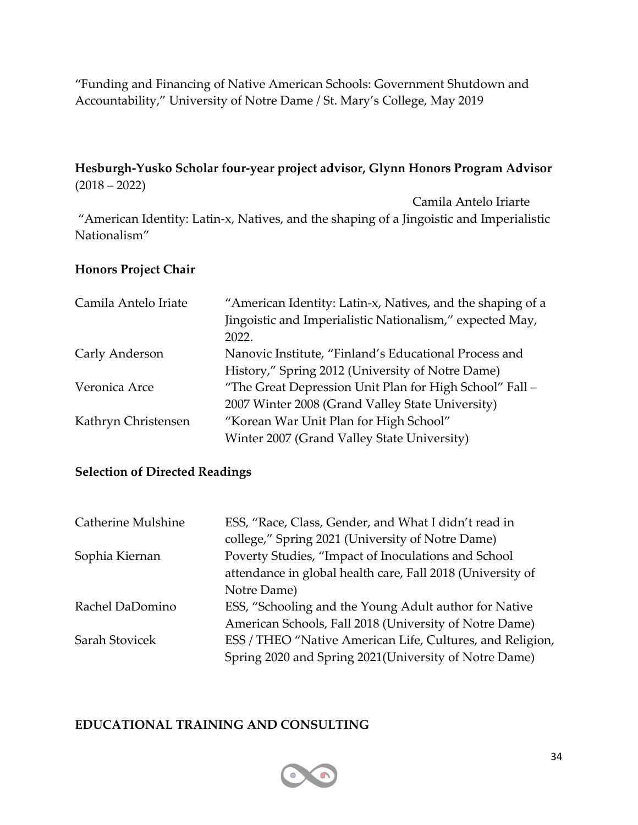"Funding and Financing of Native American Schools: Government Shutdown and Accountability," University of Notre Dame / St. Mary's College, May 2019

#### **Hesburgh-Yusko Scholar four-year project advisor, Glynn Honors Program Advisor**  $(2018 - 2022)$

Camila Antelo Iriarte "American Identity: Latin-x, Natives, and the shaping of a Jingoistic and Imperialistic Nationalism"

#### **Honors Project Chair**

| Camila Antelo Iriate | "American Identity: Latin-x, Natives, and the shaping of a |
|----------------------|------------------------------------------------------------|
|                      | Jingoistic and Imperialistic Nationalism," expected May,   |
|                      | 2022.                                                      |
| Carly Anderson       | Nanovic Institute, "Finland's Educational Process and      |
|                      | History," Spring 2012 (University of Notre Dame)           |
| Veronica Arce        | "The Great Depression Unit Plan for High School" Fall -    |
|                      | 2007 Winter 2008 (Grand Valley State University)           |
| Kathryn Christensen  | "Korean War Unit Plan for High School"                     |
|                      | Winter 2007 (Grand Valley State University)                |

#### **Selection of Directed Readings**

| <b>Catherine Mulshine</b> | ESS, "Race, Class, Gender, and What I didn't read in       |
|---------------------------|------------------------------------------------------------|
|                           | college," Spring 2021 (University of Notre Dame)           |
| Sophia Kiernan            | Poverty Studies, "Impact of Inoculations and School        |
|                           | attendance in global health care, Fall 2018 (University of |
|                           | Notre Dame)                                                |
| Rachel DaDomino           | ESS, "Schooling and the Young Adult author for Native      |
|                           | American Schools, Fall 2018 (University of Notre Dame)     |
| Sarah Stovicek            | ESS / THEO "Native American Life, Cultures, and Religion,  |
|                           | Spring 2020 and Spring 2021 (University of Notre Dame)     |

#### **EDUCATIONAL TRAINING AND CONSULTING**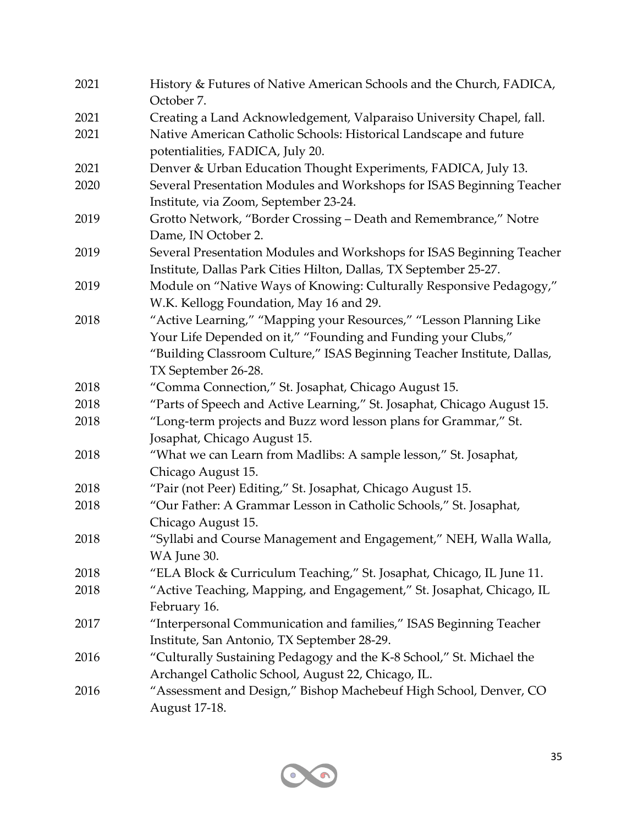| 2021 | History & Futures of Native American Schools and the Church, FADICA,<br>October 7.                                                                                                                                                    |
|------|---------------------------------------------------------------------------------------------------------------------------------------------------------------------------------------------------------------------------------------|
| 2021 | Creating a Land Acknowledgement, Valparaiso University Chapel, fall.                                                                                                                                                                  |
| 2021 | Native American Catholic Schools: Historical Landscape and future<br>potentialities, FADICA, July 20.                                                                                                                                 |
| 2021 | Denver & Urban Education Thought Experiments, FADICA, July 13.                                                                                                                                                                        |
| 2020 | Several Presentation Modules and Workshops for ISAS Beginning Teacher<br>Institute, via Zoom, September 23-24.                                                                                                                        |
| 2019 | Grotto Network, "Border Crossing - Death and Remembrance," Notre<br>Dame, IN October 2.                                                                                                                                               |
| 2019 | Several Presentation Modules and Workshops for ISAS Beginning Teacher<br>Institute, Dallas Park Cities Hilton, Dallas, TX September 25-27.                                                                                            |
| 2019 | Module on "Native Ways of Knowing: Culturally Responsive Pedagogy,"<br>W.K. Kellogg Foundation, May 16 and 29.                                                                                                                        |
| 2018 | "Active Learning," "Mapping your Resources," "Lesson Planning Like<br>Your Life Depended on it," "Founding and Funding your Clubs,"<br>"Building Classroom Culture," ISAS Beginning Teacher Institute, Dallas,<br>TX September 26-28. |
| 2018 | "Comma Connection," St. Josaphat, Chicago August 15.                                                                                                                                                                                  |
| 2018 | "Parts of Speech and Active Learning," St. Josaphat, Chicago August 15.                                                                                                                                                               |
| 2018 | "Long-term projects and Buzz word lesson plans for Grammar," St.<br>Josaphat, Chicago August 15.                                                                                                                                      |
| 2018 | "What we can Learn from Madlibs: A sample lesson," St. Josaphat,<br>Chicago August 15.                                                                                                                                                |
| 2018 | "Pair (not Peer) Editing," St. Josaphat, Chicago August 15.                                                                                                                                                                           |
| 2018 | "Our Father: A Grammar Lesson in Catholic Schools," St. Josaphat,<br>Chicago August 15.                                                                                                                                               |
| 2018 | "Syllabi and Course Management and Engagement," NEH, Walla Walla,<br>WA June 30.                                                                                                                                                      |
| 2018 | "ELA Block & Curriculum Teaching," St. Josaphat, Chicago, IL June 11.                                                                                                                                                                 |
| 2018 | "Active Teaching, Mapping, and Engagement," St. Josaphat, Chicago, IL<br>February 16.                                                                                                                                                 |
| 2017 | "Interpersonal Communication and families," ISAS Beginning Teacher<br>Institute, San Antonio, TX September 28-29.                                                                                                                     |
| 2016 | "Culturally Sustaining Pedagogy and the K-8 School," St. Michael the<br>Archangel Catholic School, August 22, Chicago, IL.                                                                                                            |
| 2016 | "Assessment and Design," Bishop Machebeuf High School, Denver, CO<br>August 17-18.                                                                                                                                                    |

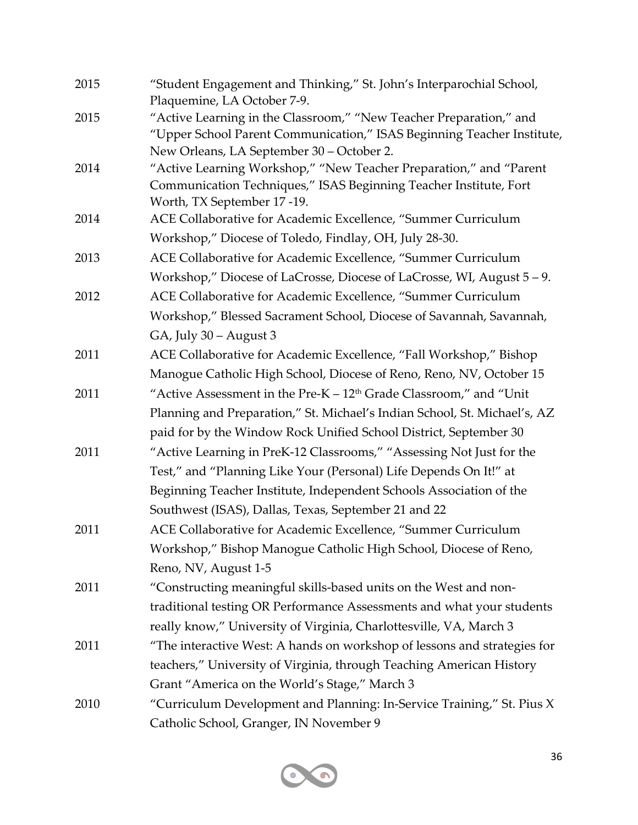| 2015 | "Student Engagement and Thinking," St. John's Interparochial School,<br>Plaquemine, LA October 7-9.                                                                                       |
|------|-------------------------------------------------------------------------------------------------------------------------------------------------------------------------------------------|
| 2015 | "Active Learning in the Classroom," "New Teacher Preparation," and<br>"Upper School Parent Communication," ISAS Beginning Teacher Institute,<br>New Orleans, LA September 30 - October 2. |
| 2014 | "Active Learning Workshop," "New Teacher Preparation," and "Parent                                                                                                                        |
|      | Communication Techniques," ISAS Beginning Teacher Institute, Fort<br>Worth, TX September 17 -19.                                                                                          |
| 2014 | ACE Collaborative for Academic Excellence, "Summer Curriculum                                                                                                                             |
|      | Workshop," Diocese of Toledo, Findlay, OH, July 28-30.                                                                                                                                    |
| 2013 | ACE Collaborative for Academic Excellence, "Summer Curriculum                                                                                                                             |
|      | Workshop," Diocese of LaCrosse, Diocese of LaCrosse, WI, August 5-9.                                                                                                                      |
| 2012 | ACE Collaborative for Academic Excellence, "Summer Curriculum                                                                                                                             |
|      | Workshop," Blessed Sacrament School, Diocese of Savannah, Savannah,                                                                                                                       |
|      | GA, July 30 – August 3                                                                                                                                                                    |
| 2011 | ACE Collaborative for Academic Excellence, "Fall Workshop," Bishop                                                                                                                        |
|      | Manogue Catholic High School, Diocese of Reno, Reno, NV, October 15                                                                                                                       |
| 2011 | "Active Assessment in the Pre-K – 12 <sup>th</sup> Grade Classroom," and "Unit                                                                                                            |
|      | Planning and Preparation," St. Michael's Indian School, St. Michael's, AZ                                                                                                                 |
|      | paid for by the Window Rock Unified School District, September 30                                                                                                                         |
| 2011 | "Active Learning in PreK-12 Classrooms," "Assessing Not Just for the                                                                                                                      |
|      | Test," and "Planning Like Your (Personal) Life Depends On It!" at                                                                                                                         |
|      | Beginning Teacher Institute, Independent Schools Association of the                                                                                                                       |
|      | Southwest (ISAS), Dallas, Texas, September 21 and 22                                                                                                                                      |
| 2011 | ACE Collaborative for Academic Excellence, "Summer Curriculum                                                                                                                             |
|      | Workshop," Bishop Manogue Catholic High School, Diocese of Reno,                                                                                                                          |
|      | Reno, NV, August 1-5                                                                                                                                                                      |
| 2011 | "Constructing meaningful skills-based units on the West and non-                                                                                                                          |
|      | traditional testing OR Performance Assessments and what your students                                                                                                                     |
|      | really know," University of Virginia, Charlottesville, VA, March 3                                                                                                                        |
| 2011 | "The interactive West: A hands on workshop of lessons and strategies for                                                                                                                  |
|      | teachers," University of Virginia, through Teaching American History                                                                                                                      |
|      | Grant "America on the World's Stage," March 3                                                                                                                                             |
| 2010 | "Curriculum Development and Planning: In-Service Training," St. Pius X                                                                                                                    |
|      | Catholic School, Granger, IN November 9                                                                                                                                                   |

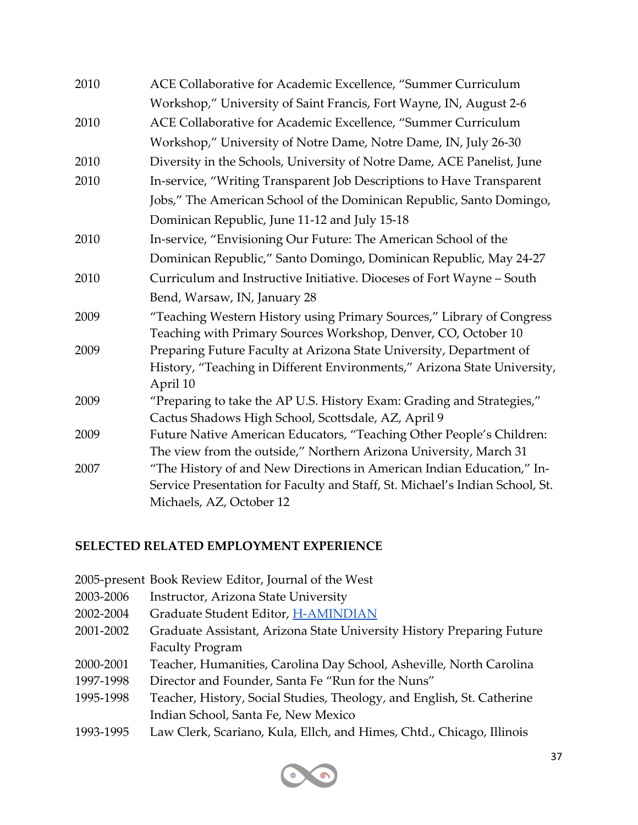| ACE Collaborative for Academic Excellence, "Summer Curriculum                |
|------------------------------------------------------------------------------|
| Workshop," University of Saint Francis, Fort Wayne, IN, August 2-6           |
| ACE Collaborative for Academic Excellence, "Summer Curriculum                |
| Workshop," University of Notre Dame, Notre Dame, IN, July 26-30              |
| Diversity in the Schools, University of Notre Dame, ACE Panelist, June       |
| In-service, "Writing Transparent Job Descriptions to Have Transparent        |
| Jobs," The American School of the Dominican Republic, Santo Domingo,         |
| Dominican Republic, June 11-12 and July 15-18                                |
| In-service, "Envisioning Our Future: The American School of the              |
| Dominican Republic," Santo Domingo, Dominican Republic, May 24-27            |
| Curriculum and Instructive Initiative. Dioceses of Fort Wayne - South        |
| Bend, Warsaw, IN, January 28                                                 |
| "Teaching Western History using Primary Sources," Library of Congress        |
| Teaching with Primary Sources Workshop, Denver, CO, October 10               |
| Preparing Future Faculty at Arizona State University, Department of          |
| History, "Teaching in Different Environments," Arizona State University,     |
| April 10                                                                     |
| "Preparing to take the AP U.S. History Exam: Grading and Strategies,"        |
| Cactus Shadows High School, Scottsdale, AZ, April 9                          |
| Future Native American Educators, "Teaching Other People's Children:         |
| The view from the outside," Northern Arizona University, March 31            |
| "The History of and New Directions in American Indian Education," In-        |
| Service Presentation for Faculty and Staff, St. Michael's Indian School, St. |
| Michaels, AZ, October 12                                                     |
|                                                                              |

#### **SELECTED RELATED EMPLOYMENT EXPERIENCE**

- 2005-present Book Review Editor, Journal of the West
- 2003-2006 Instructor, Arizona State University
- 2002-2004 Graduate Student Editor, H-AMINDIAN
- 2001-2002 Graduate Assistant, Arizona State University History Preparing Future Faculty Program
- 2000-2001 Teacher, Humanities, Carolina Day School, Asheville, North Carolina
- 1997-1998 Director and Founder, Santa Fe "Run for the Nuns"
- 1995-1998 Teacher, History, Social Studies, Theology, and English, St. Catherine Indian School, Santa Fe, New Mexico
- 1993-1995 Law Clerk, Scariano, Kula, Ellch, and Himes, Chtd., Chicago, Illinois

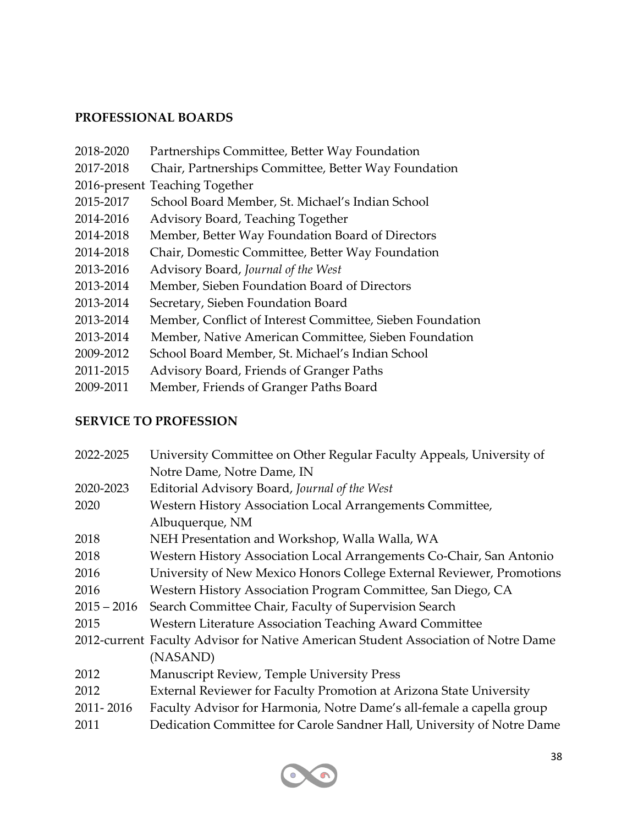#### **PROFESSIONAL BOARDS**

- 2018-2020 Partnerships Committee, Better Way Foundation
- 2017-2018 Chair, Partnerships Committee, Better Way Foundation
- 2016-present Teaching Together
- 2015-2017 School Board Member, St. Michael's Indian School
- 2014-2016 Advisory Board, Teaching Together
- 2014-2018 Member, Better Way Foundation Board of Directors
- 2014-2018 Chair, Domestic Committee, Better Way Foundation
- 2013-2016 Advisory Board, *Journal of the West*
- 2013-2014 Member, Sieben Foundation Board of Directors
- 2013-2014 Secretary, Sieben Foundation Board
- 2013-2014 Member, Conflict of Interest Committee, Sieben Foundation
- 2013-2014 Member, Native American Committee, Sieben Foundation
- 2009-2012 School Board Member, St. Michael's Indian School
- 2011-2015 Advisory Board, Friends of Granger Paths
- 2009-2011 Member, Friends of Granger Paths Board

#### **SERVICE TO PROFESSION**

| 2022-2025     | University Committee on Other Regular Faculty Appeals, University of               |
|---------------|------------------------------------------------------------------------------------|
|               | Notre Dame, Notre Dame, IN                                                         |
| 2020-2023     | Editorial Advisory Board, Journal of the West                                      |
| 2020          | Western History Association Local Arrangements Committee,                          |
|               | Albuquerque, NM                                                                    |
| 2018          | NEH Presentation and Workshop, Walla Walla, WA                                     |
| 2018          | Western History Association Local Arrangements Co-Chair, San Antonio               |
| 2016          | University of New Mexico Honors College External Reviewer, Promotions              |
| 2016          | Western History Association Program Committee, San Diego, CA                       |
| $2015 - 2016$ | Search Committee Chair, Faculty of Supervision Search                              |
| 2015          | Western Literature Association Teaching Award Committee                            |
|               | 2012-current Faculty Advisor for Native American Student Association of Notre Dame |
|               | (NASAND)                                                                           |
| 2012          | <b>Manuscript Review, Temple University Press</b>                                  |
| 2012          | External Reviewer for Faculty Promotion at Arizona State University                |
| 2011-2016     | Faculty Advisor for Harmonia, Notre Dame's all-female a capella group              |
| 2011          | Dedication Committee for Carole Sandner Hall, University of Notre Dame             |
|               |                                                                                    |

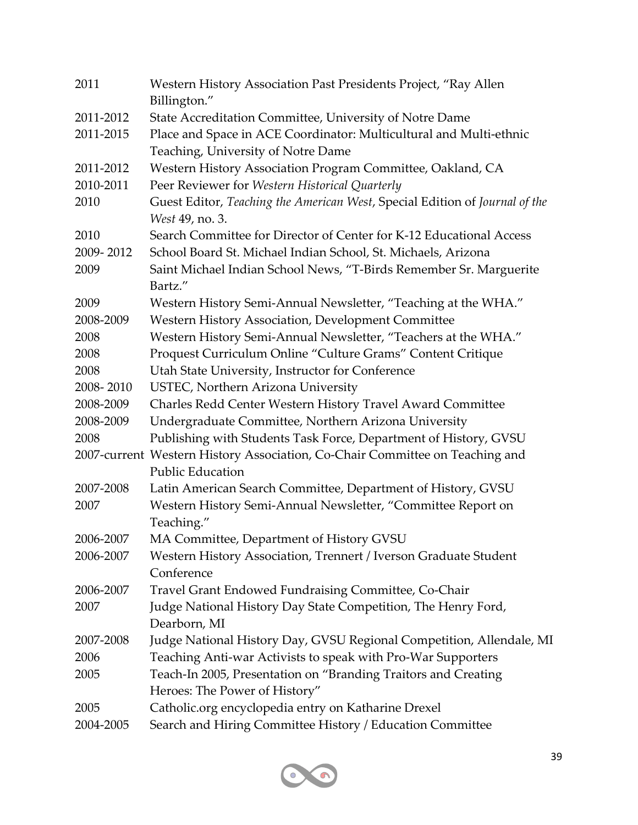| 2011              | Western History Association Past Presidents Project, "Ray Allen<br>Billington."                                      |
|-------------------|----------------------------------------------------------------------------------------------------------------------|
| 2011-2012         | State Accreditation Committee, University of Notre Dame                                                              |
| 2011-2015         | Place and Space in ACE Coordinator: Multicultural and Multi-ethnic<br>Teaching, University of Notre Dame             |
| 2011-2012         | Western History Association Program Committee, Oakland, CA                                                           |
| 2010-2011         | Peer Reviewer for Western Historical Quarterly                                                                       |
| 2010              | Guest Editor, Teaching the American West, Special Edition of Journal of the<br>West 49, no. 3.                       |
| 2010              | Search Committee for Director of Center for K-12 Educational Access                                                  |
| 2009-2012         | School Board St. Michael Indian School, St. Michaels, Arizona                                                        |
| 2009              | Saint Michael Indian School News, "T-Birds Remember Sr. Marguerite<br>Bartz."                                        |
| 2009<br>2008-2009 | Western History Semi-Annual Newsletter, "Teaching at the WHA."<br>Western History Association, Development Committee |
| 2008              | Western History Semi-Annual Newsletter, "Teachers at the WHA."                                                       |
| 2008              | Proquest Curriculum Online "Culture Grams" Content Critique                                                          |
| 2008              | Utah State University, Instructor for Conference                                                                     |
| 2008-2010         | USTEC, Northern Arizona University                                                                                   |
| 2008-2009         | Charles Redd Center Western History Travel Award Committee                                                           |
| 2008-2009         | Undergraduate Committee, Northern Arizona University                                                                 |
| 2008              | Publishing with Students Task Force, Department of History, GVSU                                                     |
|                   | 2007-current Western History Association, Co-Chair Committee on Teaching and<br><b>Public Education</b>              |
| 2007-2008         | Latin American Search Committee, Department of History, GVSU                                                         |
| 2007              | Western History Semi-Annual Newsletter, "Committee Report on<br>Teaching."                                           |
| 2006-2007         | MA Committee, Department of History GVSU                                                                             |
| 2006-2007         | Western History Association, Trennert / Iverson Graduate Student<br>Conference                                       |
| 2006-2007         | Travel Grant Endowed Fundraising Committee, Co-Chair                                                                 |
| 2007              | Judge National History Day State Competition, The Henry Ford,<br>Dearborn, MI                                        |
| 2007-2008         | Judge National History Day, GVSU Regional Competition, Allendale, MI                                                 |
| 2006              | Teaching Anti-war Activists to speak with Pro-War Supporters                                                         |
| 2005              | Teach-In 2005, Presentation on "Branding Traitors and Creating                                                       |
|                   | Heroes: The Power of History"                                                                                        |
| 2005              | Catholic.org encyclopedia entry on Katharine Drexel                                                                  |
| 2004-2005         | Search and Hiring Committee History / Education Committee                                                            |

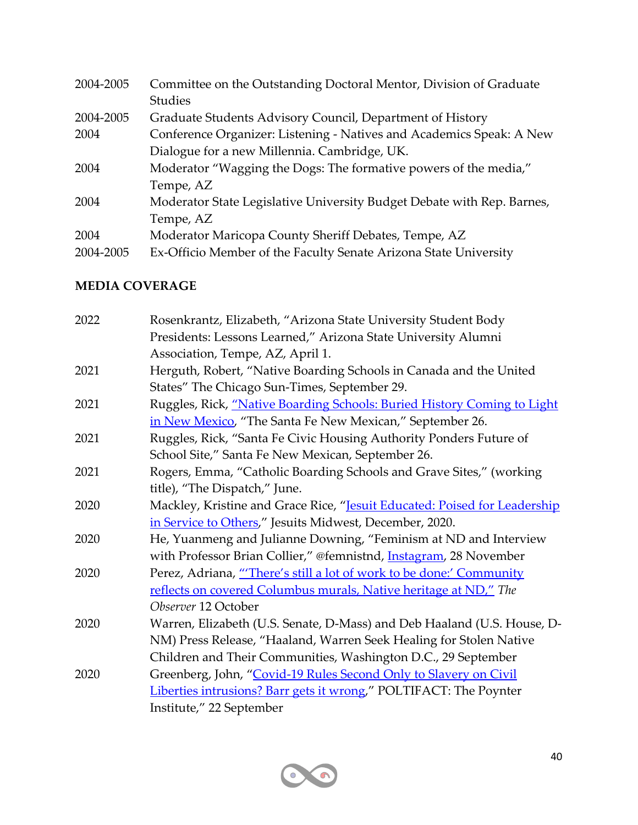| 2004-2005 | Committee on the Outstanding Doctoral Mentor, Division of Graduate     |
|-----------|------------------------------------------------------------------------|
|           | <b>Studies</b>                                                         |
| 2004-2005 | Graduate Students Advisory Council, Department of History              |
| 2004      | Conference Organizer: Listening - Natives and Academics Speak: A New   |
|           | Dialogue for a new Millennia. Cambridge, UK.                           |
| 2004      | Moderator "Wagging the Dogs: The formative powers of the media,"       |
|           | Tempe, AZ                                                              |
| 2004      | Moderator State Legislative University Budget Debate with Rep. Barnes, |
|           | Tempe, AZ                                                              |
| 2004      | Moderator Maricopa County Sheriff Debates, Tempe, AZ                   |
| 2004-2005 | Ex-Officio Member of the Faculty Senate Arizona State University       |

# **MEDIA COVERAGE**

| 2022 | Rosenkrantz, Elizabeth, "Arizona State University Student Body            |
|------|---------------------------------------------------------------------------|
|      | Presidents: Lessons Learned," Arizona State University Alumni             |
|      | Association, Tempe, AZ, April 1.                                          |
| 2021 | Herguth, Robert, "Native Boarding Schools in Canada and the United        |
|      | States" The Chicago Sun-Times, September 29.                              |
| 2021 | Ruggles, Rick, "Native Boarding Schools: Buried History Coming to Light   |
|      | in New Mexico, "The Santa Fe New Mexican," September 26.                  |
| 2021 | Ruggles, Rick, "Santa Fe Civic Housing Authority Ponders Future of        |
|      | School Site," Santa Fe New Mexican, September 26.                         |
| 2021 | Rogers, Emma, "Catholic Boarding Schools and Grave Sites," (working       |
|      | title), "The Dispatch," June.                                             |
| 2020 | Mackley, Kristine and Grace Rice, "Jesuit Educated: Poised for Leadership |
|      | in Service to Others," Jesuits Midwest, December, 2020.                   |
| 2020 | He, Yuanmeng and Julianne Downing, "Feminism at ND and Interview          |
|      | with Professor Brian Collier," @femnistnd, <i>Instagram</i> , 28 November |
| 2020 | Perez, Adriana, "There's still a lot of work to be done:' Community       |
|      | reflects on covered Columbus murals, Native heritage at ND," The          |
|      | Observer 12 October                                                       |
| 2020 | Warren, Elizabeth (U.S. Senate, D-Mass) and Deb Haaland (U.S. House, D-   |
|      | NM) Press Release, "Haaland, Warren Seek Healing for Stolen Native        |
|      | Children and Their Communities, Washington D.C., 29 September             |
| 2020 | Greenberg, John, "Covid-19 Rules Second Only to Slavery on Civil          |
|      | Liberties intrusions? Barr gets it wrong," POLTIFACT: The Poynter         |
|      | Institute," 22 September                                                  |
|      |                                                                           |

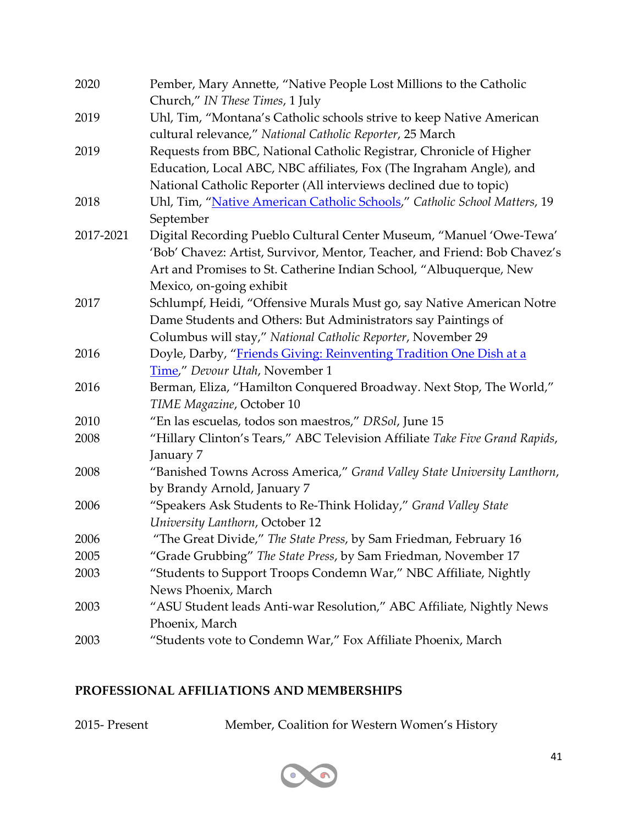| 2020      | Pember, Mary Annette, "Native People Lost Millions to the Catholic<br>Church," IN These Times, 1 July |
|-----------|-------------------------------------------------------------------------------------------------------|
| 2019      | Uhl, Tim, "Montana's Catholic schools strive to keep Native American                                  |
|           | cultural relevance," National Catholic Reporter, 25 March                                             |
| 2019      | Requests from BBC, National Catholic Registrar, Chronicle of Higher                                   |
|           | Education, Local ABC, NBC affiliates, Fox (The Ingraham Angle), and                                   |
|           | National Catholic Reporter (All interviews declined due to topic)                                     |
| 2018      | Uhl, Tim, "Native American Catholic Schools," Catholic School Matters, 19                             |
|           | September                                                                                             |
| 2017-2021 | Digital Recording Pueblo Cultural Center Museum, "Manuel 'Owe-Tewa'                                   |
|           | 'Bob' Chavez: Artist, Survivor, Mentor, Teacher, and Friend: Bob Chavez's                             |
|           | Art and Promises to St. Catherine Indian School, "Albuquerque, New                                    |
|           | Mexico, on-going exhibit                                                                              |
| 2017      | Schlumpf, Heidi, "Offensive Murals Must go, say Native American Notre                                 |
|           | Dame Students and Others: But Administrators say Paintings of                                         |
|           | Columbus will stay," National Catholic Reporter, November 29                                          |
| 2016      | Doyle, Darby, "Friends Giving: Reinventing Tradition One Dish at a                                    |
|           | Time," Devour Utah, November 1                                                                        |
| 2016      | Berman, Eliza, "Hamilton Conquered Broadway. Next Stop, The World,"                                   |
|           | TIME Magazine, October 10                                                                             |
| 2010      | "En las escuelas, todos son maestros," DRSol, June 15                                                 |
| 2008      | "Hillary Clinton's Tears," ABC Television Affiliate Take Five Grand Rapids,                           |
|           | January 7                                                                                             |
| 2008      | "Banished Towns Across America," Grand Valley State University Lanthorn,                              |
|           | by Brandy Arnold, January 7                                                                           |
| 2006      | "Speakers Ask Students to Re-Think Holiday," Grand Valley State                                       |
|           | University Lanthorn, October 12                                                                       |
| 2006      | "The Great Divide," The State Press, by Sam Friedman, February 16                                     |
| 2005      | "Grade Grubbing" The State Press, by Sam Friedman, November 17                                        |
| 2003      | "Students to Support Troops Condemn War," NBC Affiliate, Nightly                                      |
|           | News Phoenix, March                                                                                   |
| 2003      | "ASU Student leads Anti-war Resolution," ABC Affiliate, Nightly News                                  |
|           | Phoenix, March                                                                                        |
| 2003      | "Students vote to Condemn War," Fox Affiliate Phoenix, March                                          |

# **PROFESSIONAL AFFILIATIONS AND MEMBERSHIPS**